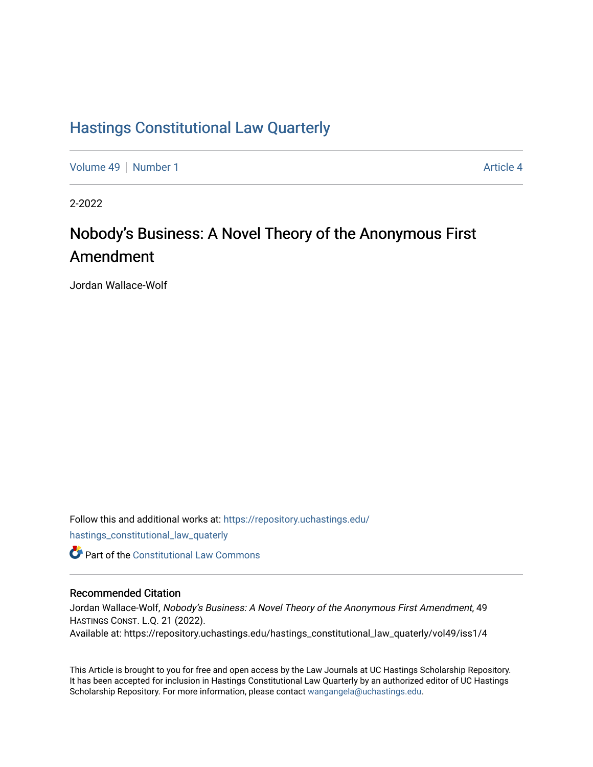## [Hastings Constitutional Law Quarterly](https://repository.uchastings.edu/hastings_constitutional_law_quaterly)

[Volume 49](https://repository.uchastings.edu/hastings_constitutional_law_quaterly/vol49) [Number 1](https://repository.uchastings.edu/hastings_constitutional_law_quaterly/vol49/iss1) [Article 4](https://repository.uchastings.edu/hastings_constitutional_law_quaterly/vol49/iss1/4) Article 4

2-2022

# Nobody's Business: A Novel Theory of the Anonymous First Amendment

Jordan Wallace-Wolf

Follow this and additional works at: [https://repository.uchastings.edu/](https://repository.uchastings.edu/hastings_constitutional_law_quaterly?utm_source=repository.uchastings.edu%2Fhastings_constitutional_law_quaterly%2Fvol49%2Fiss1%2F4&utm_medium=PDF&utm_campaign=PDFCoverPages) [hastings\\_constitutional\\_law\\_quaterly](https://repository.uchastings.edu/hastings_constitutional_law_quaterly?utm_source=repository.uchastings.edu%2Fhastings_constitutional_law_quaterly%2Fvol49%2Fiss1%2F4&utm_medium=PDF&utm_campaign=PDFCoverPages)  **C** Part of the Constitutional Law Commons

#### Recommended Citation

Jordan Wallace-Wolf, Nobody's Business: A Novel Theory of the Anonymous First Amendment, 49 HASTINGS CONST. L.Q. 21 (2022). Available at: https://repository.uchastings.edu/hastings\_constitutional\_law\_quaterly/vol49/iss1/4

This Article is brought to you for free and open access by the Law Journals at UC Hastings Scholarship Repository. It has been accepted for inclusion in Hastings Constitutional Law Quarterly by an authorized editor of UC Hastings Scholarship Repository. For more information, please contact [wangangela@uchastings.edu.](mailto:wangangela@uchastings.edu)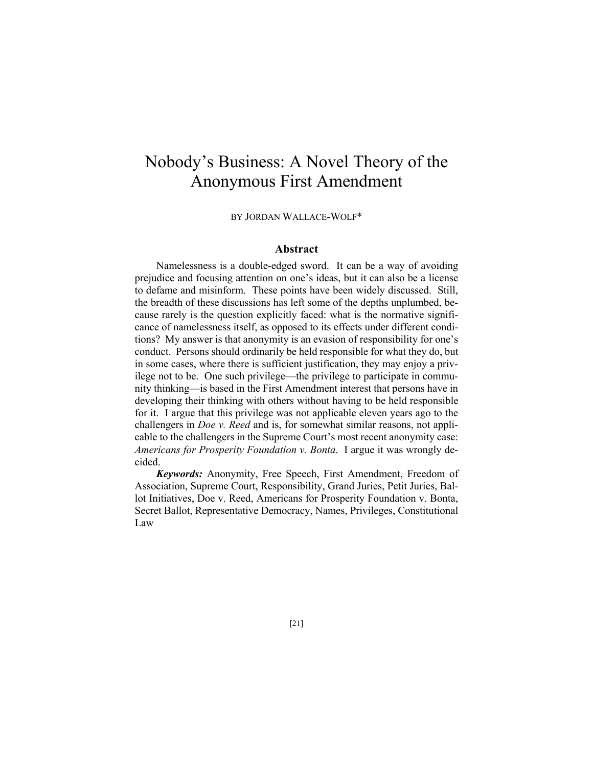# Nobody's Business: A Novel Theory of the Anonymous First Amendment

BY JORDAN WALLACE-WOLF\*

#### **Abstract**

Namelessness is a double-edged sword. It can be a way of avoiding prejudice and focusing attention on one's ideas, but it can also be a license to defame and misinform. These points have been widely discussed. Still, the breadth of these discussions has left some of the depths unplumbed, because rarely is the question explicitly faced: what is the normative significance of namelessness itself, as opposed to its effects under different conditions? My answer is that anonymity is an evasion of responsibility for one's conduct. Persons should ordinarily be held responsible for what they do, but in some cases, where there is sufficient justification, they may enjoy a privilege not to be. One such privilege—the privilege to participate in community thinking—is based in the First Amendment interest that persons have in developing their thinking with others without having to be held responsible for it. I argue that this privilege was not applicable eleven years ago to the challengers in *Doe v. Reed* and is, for somewhat similar reasons, not applicable to the challengers in the Supreme Court's most recent anonymity case: *Americans for Prosperity Foundation v. Bonta*. I argue it was wrongly decided.

*Keywords:* Anonymity, Free Speech, First Amendment, Freedom of Association, Supreme Court, Responsibility, Grand Juries, Petit Juries, Ballot Initiatives, Doe v. Reed, Americans for Prosperity Foundation v. Bonta, Secret Ballot, Representative Democracy, Names, Privileges, Constitutional Law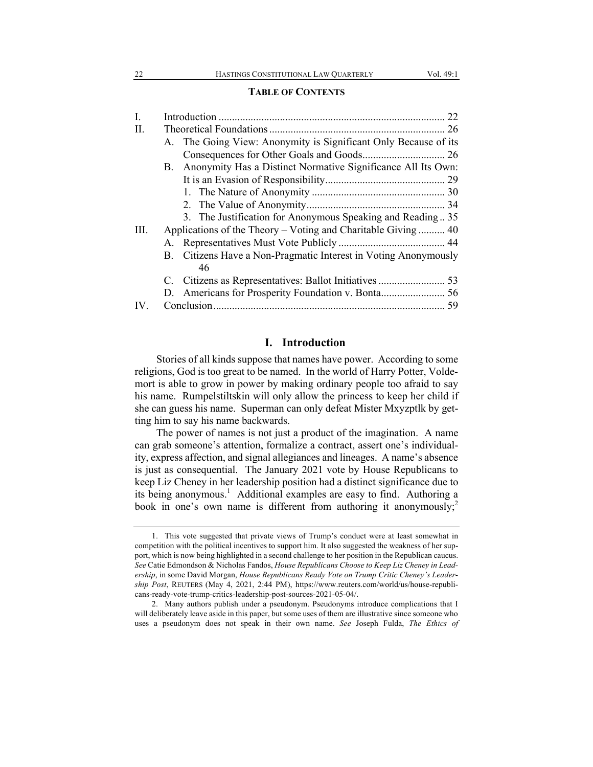#### **TABLE OF CONTENTS**

| I.   |                                                                 |  |
|------|-----------------------------------------------------------------|--|
| II.  |                                                                 |  |
|      | A. The Going View: Anonymity is Significant Only Because of its |  |
|      |                                                                 |  |
|      | B. Anonymity Has a Distinct Normative Significance All Its Own: |  |
|      |                                                                 |  |
|      |                                                                 |  |
|      |                                                                 |  |
|      | 3. The Justification for Anonymous Speaking and Reading 35      |  |
| III. | Applications of the Theory – Voting and Charitable Giving  40   |  |
|      |                                                                 |  |
|      | B. Citizens Have a Non-Pragmatic Interest in Voting Anonymously |  |
|      | 46                                                              |  |
|      |                                                                 |  |
|      |                                                                 |  |
| IV.  |                                                                 |  |

#### **I. Introduction**

Stories of all kinds suppose that names have power. According to some religions, God is too great to be named. In the world of Harry Potter, Voldemort is able to grow in power by making ordinary people too afraid to say his name. Rumpelstiltskin will only allow the princess to keep her child if she can guess his name. Superman can only defeat Mister Mxyzptlk by getting him to say his name backwards.

The power of names is not just a product of the imagination. A name can grab someone's attention, formalize a contract, assert one's individuality, express affection, and signal allegiances and lineages. A name's absence is just as consequential. The January 2021 vote by House Republicans to keep Liz Cheney in her leadership position had a distinct significance due to its being anonymous.<sup>1</sup> Additional examples are easy to find. Authoring a book in one's own name is different from authoring it anonymously;<sup>2</sup>

<sup>1.</sup> This vote suggested that private views of Trump's conduct were at least somewhat in competition with the political incentives to support him. It also suggested the weakness of her support, which is now being highlighted in a second challenge to her position in the Republican caucus. *See* Catie Edmondson & Nicholas Fandos, *House Republicans Choose to Keep Liz Cheney in Leadership*, in some David Morgan, *House Republicans Ready Vote on Trump Critic Cheney's Leadership Post*, REUTERS (May 4, 2021, 2:44 PM), https://www.reuters.com/world/us/house-republicans-ready-vote-trump-critics-leadership-post-sources-2021-05-04/.

<sup>2.</sup> Many authors publish under a pseudonym. Pseudonyms introduce complications that I will deliberately leave aside in this paper, but some uses of them are illustrative since someone who uses a pseudonym does not speak in their own name. *See* Joseph Fulda, *The Ethics of*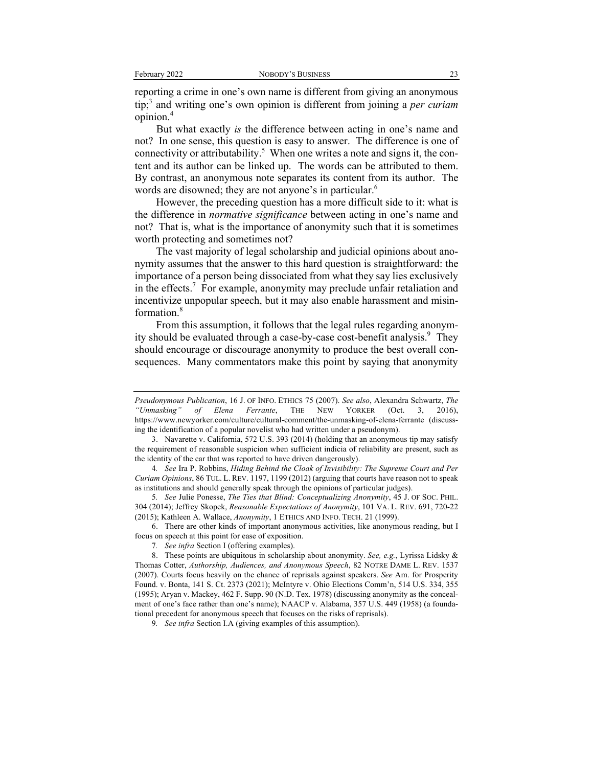reporting a crime in one's own name is different from giving an anonymous tip;3 and writing one's own opinion is different from joining a *per curiam* opinion.<sup>4</sup>

But what exactly *is* the difference between acting in one's name and not? In one sense, this question is easy to answer. The difference is one of connectivity or attributability.<sup>5</sup> When one writes a note and signs it, the content and its author can be linked up. The words can be attributed to them. By contrast, an anonymous note separates its content from its author. The words are disowned; they are not anyone's in particular.<sup>6</sup>

However, the preceding question has a more difficult side to it: what is the difference in *normative significance* between acting in one's name and not? That is, what is the importance of anonymity such that it is sometimes worth protecting and sometimes not?

The vast majority of legal scholarship and judicial opinions about anonymity assumes that the answer to this hard question is straightforward: the importance of a person being dissociated from what they say lies exclusively in the effects.<sup>7</sup> For example, anonymity may preclude unfair retaliation and incentivize unpopular speech, but it may also enable harassment and misinformation.<sup>8</sup>

From this assumption, it follows that the legal rules regarding anonymity should be evaluated through a case-by-case cost-benefit analysis.<sup>9</sup> They should encourage or discourage anonymity to produce the best overall consequences. Many commentators make this point by saying that anonymity

6. There are other kinds of important anonymous activities, like anonymous reading, but I focus on speech at this point for ease of exposition.

*Pseudonymous Publication*, 16 J. OF INFO. ETHICS 75 (2007). *See also*, Alexandra Schwartz, *The "Unmasking" of Elena Ferrante*, THE NEW YORKER (Oct. 3, 2016), https://www.newyorker.com/culture/cultural-comment/the-unmasking-of-elena-ferrante (discussing the identification of a popular novelist who had written under a pseudonym).

<sup>3.</sup> Navarette v. California, 572 U.S. 393 (2014) (holding that an anonymous tip may satisfy the requirement of reasonable suspicion when sufficient indicia of reliability are present, such as the identity of the car that was reported to have driven dangerously).

<sup>4</sup>*. See* Ira P. Robbins, *Hiding Behind the Cloak of Invisibility: The Supreme Court and Per Curiam Opinions*, 86 TUL. L. REV. 1197, 1199 (2012) (arguing that courts have reason not to speak as institutions and should generally speak through the opinions of particular judges).

<sup>5</sup>*. See* Julie Ponesse, *The Ties that Blind: Conceptualizing Anonymity*, 45 J. OF SOC. PHIL. 304 (2014); Jeffrey Skopek, *Reasonable Expectations of Anonymity*, 101 VA. L. REV. 691, 720-22 (2015); Kathleen A. Wallace, *Anonymity*, 1 ETHICS AND INFO. TECH. 21 (1999).

<sup>7</sup>*. See infra* Section I (offering examples).

<sup>8.</sup> These points are ubiquitous in scholarship about anonymity. *See, e.g.*, Lyrissa Lidsky & Thomas Cotter, *Authorship, Audiences, and Anonymous Speech*, 82 NOTRE DAME L. REV. 1537 (2007). Courts focus heavily on the chance of reprisals against speakers. *See* Am. for Prosperity Found. v. Bonta, 141 S. Ct. 2373 (2021); McIntyre v. Ohio Elections Comm'n, 514 U.S. 334, 355 (1995); Aryan v. Mackey, 462 F. Supp. 90 (N.D. Tex. 1978) (discussing anonymity as the concealment of one's face rather than one's name); NAACP v. Alabama, 357 U.S. 449 (1958) (a foundational precedent for anonymous speech that focuses on the risks of reprisals).

<sup>9</sup>*. See infra* Section I.A (giving examples of this assumption).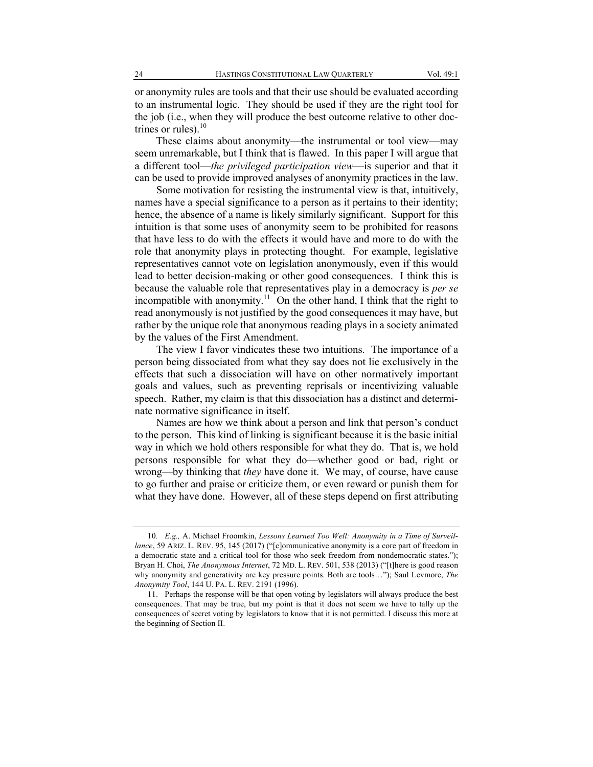or anonymity rules are tools and that their use should be evaluated according to an instrumental logic. They should be used if they are the right tool for the job (i.e., when they will produce the best outcome relative to other doctrines or rules). $10$ 

These claims about anonymity—the instrumental or tool view—may seem unremarkable, but I think that is flawed. In this paper I will argue that a different tool—*the privileged participation view*—is superior and that it can be used to provide improved analyses of anonymity practices in the law.

Some motivation for resisting the instrumental view is that, intuitively, names have a special significance to a person as it pertains to their identity; hence, the absence of a name is likely similarly significant. Support for this intuition is that some uses of anonymity seem to be prohibited for reasons that have less to do with the effects it would have and more to do with the role that anonymity plays in protecting thought. For example, legislative representatives cannot vote on legislation anonymously, even if this would lead to better decision-making or other good consequences. I think this is because the valuable role that representatives play in a democracy is *per se* incompatible with anonymity.<sup>11</sup> On the other hand, I think that the right to read anonymously is not justified by the good consequences it may have, but rather by the unique role that anonymous reading plays in a society animated by the values of the First Amendment.

The view I favor vindicates these two intuitions. The importance of a person being dissociated from what they say does not lie exclusively in the effects that such a dissociation will have on other normatively important goals and values, such as preventing reprisals or incentivizing valuable speech. Rather, my claim is that this dissociation has a distinct and determinate normative significance in itself.

Names are how we think about a person and link that person's conduct to the person. This kind of linking is significant because it is the basic initial way in which we hold others responsible for what they do. That is, we hold persons responsible for what they do—whether good or bad, right or wrong—by thinking that *they* have done it. We may, of course, have cause to go further and praise or criticize them, or even reward or punish them for what they have done. However, all of these steps depend on first attributing

<sup>10</sup>*. E.g.,* A. Michael Froomkin, *Lessons Learned Too Well: Anonymity in a Time of Surveillance*, 59 ARIZ. L. REV. 95, 145 (2017) ("[c]ommunicative anonymity is a core part of freedom in a democratic state and a critical tool for those who seek freedom from nondemocratic states."); Bryan H. Choi, *The Anonymous Internet*, 72 MD. L. REV. 501, 538 (2013) ("[t]here is good reason why anonymity and generativity are key pressure points. Both are tools…"); Saul Levmore, *The Anonymity Tool*, 144 U. PA. L. REV. 2191 (1996).

<sup>11.</sup> Perhaps the response will be that open voting by legislators will always produce the best consequences. That may be true, but my point is that it does not seem we have to tally up the consequences of secret voting by legislators to know that it is not permitted. I discuss this more at the beginning of Section II.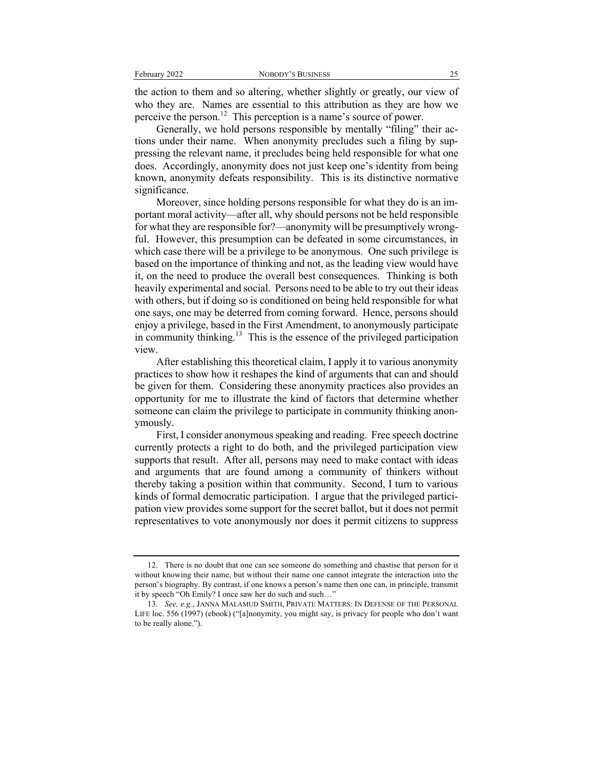the action to them and so altering, whether slightly or greatly, our view of who they are. Names are essential to this attribution as they are how we perceive the person.12 This perception is a name's source of power.

Generally, we hold persons responsible by mentally "filing" their actions under their name. When anonymity precludes such a filing by suppressing the relevant name, it precludes being held responsible for what one does. Accordingly, anonymity does not just keep one's identity from being known, anonymity defeats responsibility. This is its distinctive normative significance.

Moreover, since holding persons responsible for what they do is an important moral activity—after all, why should persons not be held responsible for what they are responsible for?—anonymity will be presumptively wrongful. However, this presumption can be defeated in some circumstances, in which case there will be a privilege to be anonymous. One such privilege is based on the importance of thinking and not, as the leading view would have it, on the need to produce the overall best consequences. Thinking is both heavily experimental and social. Persons need to be able to try out their ideas with others, but if doing so is conditioned on being held responsible for what one says, one may be deterred from coming forward. Hence, persons should enjoy a privilege, based in the First Amendment, to anonymously participate in community thinking.<sup>13</sup> This is the essence of the privileged participation view.

After establishing this theoretical claim, I apply it to various anonymity practices to show how it reshapes the kind of arguments that can and should be given for them. Considering these anonymity practices also provides an opportunity for me to illustrate the kind of factors that determine whether someone can claim the privilege to participate in community thinking anonymously.

First, I consider anonymous speaking and reading. Free speech doctrine currently protects a right to do both, and the privileged participation view supports that result. After all, persons may need to make contact with ideas and arguments that are found among a community of thinkers without thereby taking a position within that community. Second, I turn to various kinds of formal democratic participation. I argue that the privileged participation view provides some support for the secret ballot, but it does not permit representatives to vote anonymously nor does it permit citizens to suppress

<sup>12.</sup> There is no doubt that one can see someone do something and chastise that person for it without knowing their name, but without their name one cannot integrate the interaction into the person's biography. By contrast, if one knows a person's name then one can, in principle, transmit it by speech "Oh Emily? I once saw her do such and such…"

<sup>13</sup>*. See, e.g.*, JANNA MALAMUD SMITH, PRIVATE MATTERS: IN DEFENSE OF THE PERSONAL LIFE loc. 556 (1997) (ebook) ("[a]nonymity, you might say, is privacy for people who don't want to be really alone.").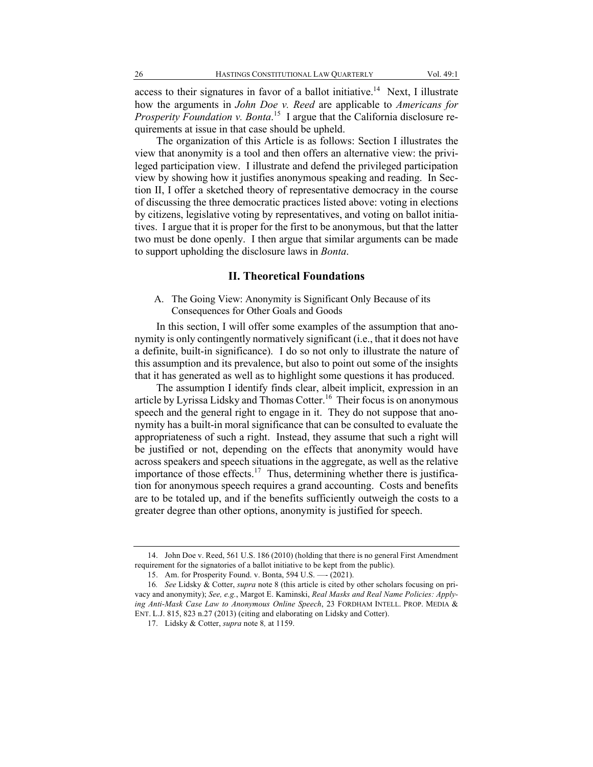access to their signatures in favor of a ballot initiative.<sup>14</sup> Next, I illustrate how the arguments in *John Doe v. Reed* are applicable to *Americans for Prosperity Foundation v. Bonta*. 15 I argue that the California disclosure requirements at issue in that case should be upheld.

The organization of this Article is as follows: Section I illustrates the view that anonymity is a tool and then offers an alternative view: the privileged participation view. I illustrate and defend the privileged participation view by showing how it justifies anonymous speaking and reading. In Section II, I offer a sketched theory of representative democracy in the course of discussing the three democratic practices listed above: voting in elections by citizens, legislative voting by representatives, and voting on ballot initiatives. I argue that it is proper for the first to be anonymous, but that the latter two must be done openly. I then argue that similar arguments can be made to support upholding the disclosure laws in *Bonta*.

#### **II. Theoretical Foundations**

#### A. The Going View: Anonymity is Significant Only Because of its Consequences for Other Goals and Goods

In this section, I will offer some examples of the assumption that anonymity is only contingently normatively significant (i.e., that it does not have a definite, built-in significance). I do so not only to illustrate the nature of this assumption and its prevalence, but also to point out some of the insights that it has generated as well as to highlight some questions it has produced.

The assumption I identify finds clear, albeit implicit, expression in an article by Lyrissa Lidsky and Thomas Cotter.<sup>16</sup> Their focus is on anonymous speech and the general right to engage in it. They do not suppose that anonymity has a built-in moral significance that can be consulted to evaluate the appropriateness of such a right. Instead, they assume that such a right will be justified or not, depending on the effects that anonymity would have across speakers and speech situations in the aggregate, as well as the relative importance of those effects.<sup>17</sup> Thus, determining whether there is justification for anonymous speech requires a grand accounting. Costs and benefits are to be totaled up, and if the benefits sufficiently outweigh the costs to a greater degree than other options, anonymity is justified for speech.

<sup>14.</sup> John Doe v. Reed, 561 U.S. 186 (2010) (holding that there is no general First Amendment requirement for the signatories of a ballot initiative to be kept from the public).

<sup>15.</sup> Am. for Prosperity Found. v. Bonta, 594 U.S. —- (2021).

<sup>16</sup>*. See* Lidsky & Cotter, *supra* note 8 (this article is cited by other scholars focusing on privacy and anonymity); *See, e.g.*, Margot E. Kaminski, *Real Masks and Real Name Policies: Applying Anti-Mask Case Law to Anonymous Online Speech*, 23 FORDHAM INTELL. PROP. MEDIA & ENT. L.J. 815, 823 n.27 (2013) (citing and elaborating on Lidsky and Cotter).

<sup>17.</sup> Lidsky & Cotter, *supra* note 8*,* at 1159.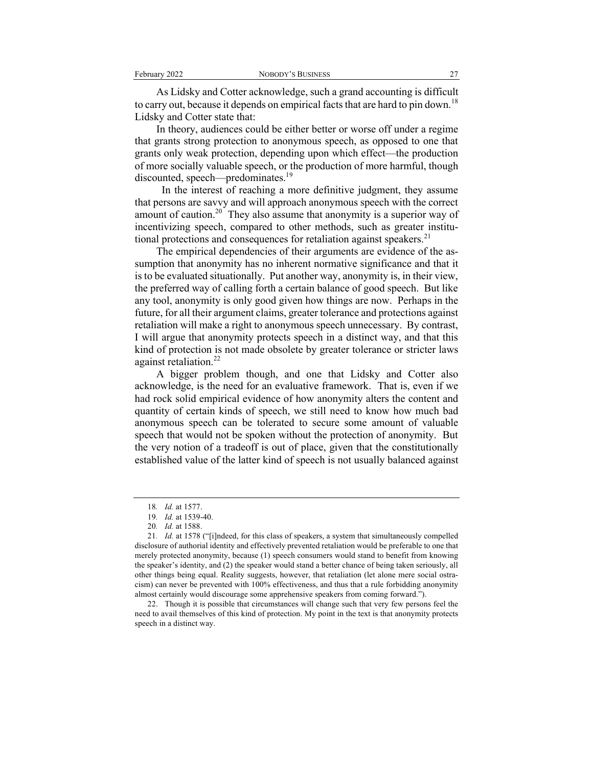As Lidsky and Cotter acknowledge, such a grand accounting is difficult to carry out, because it depends on empirical facts that are hard to pin down.<sup>18</sup> Lidsky and Cotter state that:

In theory, audiences could be either better or worse off under a regime that grants strong protection to anonymous speech, as opposed to one that grants only weak protection, depending upon which effect—the production of more socially valuable speech, or the production of more harmful, though discounted, speech—predominates.<sup>19</sup>

 In the interest of reaching a more definitive judgment, they assume that persons are savvy and will approach anonymous speech with the correct amount of caution.<sup>20</sup> They also assume that anonymity is a superior way of incentivizing speech, compared to other methods, such as greater institutional protections and consequences for retaliation against speakers. $21$ 

The empirical dependencies of their arguments are evidence of the assumption that anonymity has no inherent normative significance and that it is to be evaluated situationally. Put another way, anonymity is, in their view, the preferred way of calling forth a certain balance of good speech. But like any tool, anonymity is only good given how things are now. Perhaps in the future, for all their argument claims, greater tolerance and protections against retaliation will make a right to anonymous speech unnecessary. By contrast, I will argue that anonymity protects speech in a distinct way, and that this kind of protection is not made obsolete by greater tolerance or stricter laws against retaliation.<sup>22</sup>

A bigger problem though, and one that Lidsky and Cotter also acknowledge, is the need for an evaluative framework. That is, even if we had rock solid empirical evidence of how anonymity alters the content and quantity of certain kinds of speech, we still need to know how much bad anonymous speech can be tolerated to secure some amount of valuable speech that would not be spoken without the protection of anonymity. But the very notion of a tradeoff is out of place, given that the constitutionally established value of the latter kind of speech is not usually balanced against

22. Though it is possible that circumstances will change such that very few persons feel the need to avail themselves of this kind of protection. My point in the text is that anonymity protects speech in a distinct way.

<sup>18</sup>*. Id.* at 1577.

<sup>19</sup>*. Id.* at 1539-40.

<sup>20</sup>*. Id.* at 1588.

<sup>21</sup>*. Id.* at 1578 ("[i]ndeed, for this class of speakers, a system that simultaneously compelled disclosure of authorial identity and effectively prevented retaliation would be preferable to one that merely protected anonymity, because (1) speech consumers would stand to benefit from knowing the speaker's identity, and (2) the speaker would stand a better chance of being taken seriously, all other things being equal. Reality suggests, however, that retaliation (let alone mere social ostracism) can never be prevented with 100% effectiveness, and thus that a rule forbidding anonymity almost certainly would discourage some apprehensive speakers from coming forward.").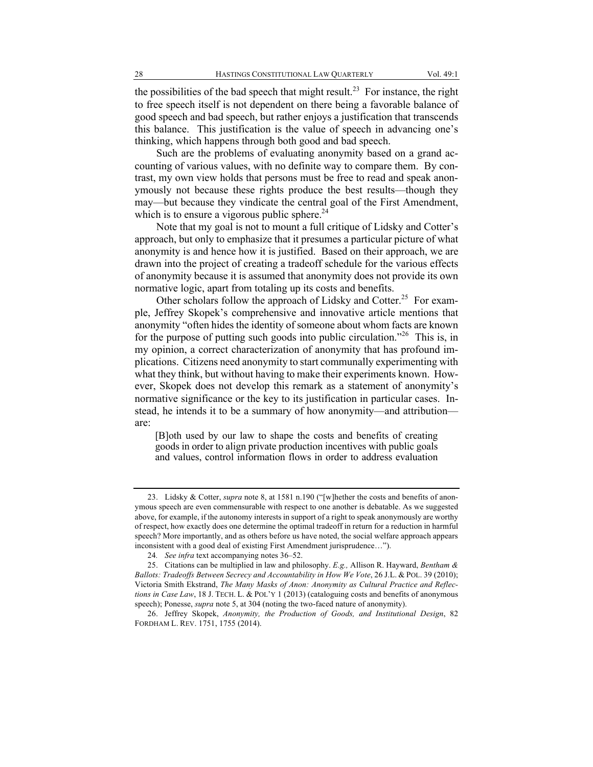the possibilities of the bad speech that might result.<sup>23</sup> For instance, the right to free speech itself is not dependent on there being a favorable balance of good speech and bad speech, but rather enjoys a justification that transcends this balance. This justification is the value of speech in advancing one's thinking, which happens through both good and bad speech.

Such are the problems of evaluating anonymity based on a grand accounting of various values, with no definite way to compare them. By contrast, my own view holds that persons must be free to read and speak anonymously not because these rights produce the best results—though they may—but because they vindicate the central goal of the First Amendment, which is to ensure a vigorous public sphere.<sup>24</sup>

Note that my goal is not to mount a full critique of Lidsky and Cotter's approach, but only to emphasize that it presumes a particular picture of what anonymity is and hence how it is justified. Based on their approach, we are drawn into the project of creating a tradeoff schedule for the various effects of anonymity because it is assumed that anonymity does not provide its own normative logic, apart from totaling up its costs and benefits.

Other scholars follow the approach of Lidsky and Cotter.<sup>25</sup> For example, Jeffrey Skopek's comprehensive and innovative article mentions that anonymity "often hides the identity of someone about whom facts are known for the purpose of putting such goods into public circulation."26 This is, in my opinion, a correct characterization of anonymity that has profound implications. Citizens need anonymity to start communally experimenting with what they think, but without having to make their experiments known. However, Skopek does not develop this remark as a statement of anonymity's normative significance or the key to its justification in particular cases. Instead, he intends it to be a summary of how anonymity—and attribution are:

[B]oth used by our law to shape the costs and benefits of creating goods in order to align private production incentives with public goals and values, control information flows in order to address evaluation

<sup>23.</sup> Lidsky & Cotter, *supra* note 8, at 1581 n.190 ("[w]hether the costs and benefits of anonymous speech are even commensurable with respect to one another is debatable. As we suggested above, for example, if the autonomy interests in support of a right to speak anonymously are worthy of respect, how exactly does one determine the optimal tradeoff in return for a reduction in harmful speech? More importantly, and as others before us have noted, the social welfare approach appears inconsistent with a good deal of existing First Amendment jurisprudence…").

<sup>24</sup>*. See infra* text accompanying notes 36–52.

<sup>25.</sup> Citations can be multiplied in law and philosophy. *E.g.,* Allison R. Hayward, *Bentham & Ballots: Tradeoffs Between Secrecy and Accountability in How We Vote*, 26 J.L. & POL. 39 (2010); Victoria Smith Ekstrand, *The Many Masks of Anon: Anonymity as Cultural Practice and Reflections in Case Law*, 18 J. TECH. L. & POL'Y 1 (2013) (cataloguing costs and benefits of anonymous speech); Ponesse, *supra* note 5, at 304 (noting the two-faced nature of anonymity).

<sup>26.</sup> Jeffrey Skopek, *Anonymity, the Production of Goods, and Institutional Design*, 82 FORDHAM L. REV. 1751, 1755 (2014).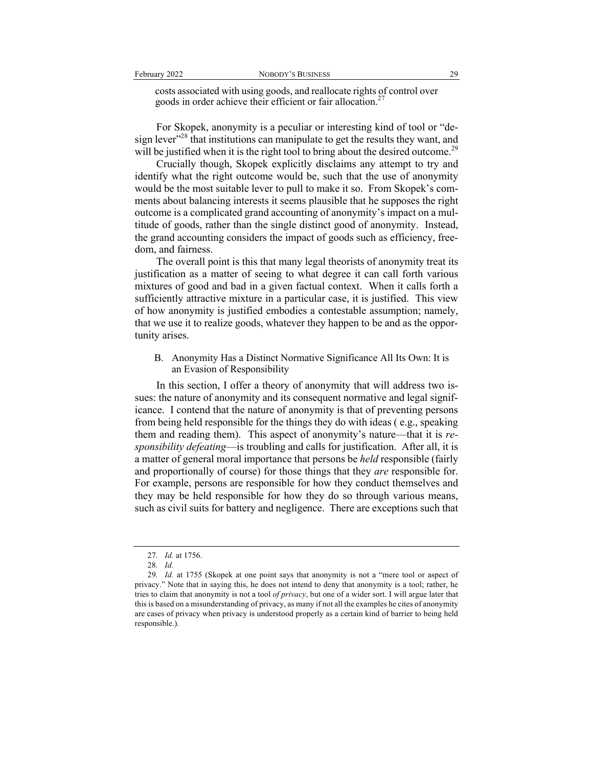costs associated with using goods, and reallocate rights of control over goods in order achieve their efficient or fair allocation.<sup>27</sup>

For Skopek, anonymity is a peculiar or interesting kind of tool or "design lever"<sup>28</sup> that institutions can manipulate to get the results they want, and will be justified when it is the right tool to bring about the desired outcome.<sup>29</sup>

Crucially though, Skopek explicitly disclaims any attempt to try and identify what the right outcome would be, such that the use of anonymity would be the most suitable lever to pull to make it so. From Skopek's comments about balancing interests it seems plausible that he supposes the right outcome is a complicated grand accounting of anonymity's impact on a multitude of goods, rather than the single distinct good of anonymity. Instead, the grand accounting considers the impact of goods such as efficiency, freedom, and fairness.

The overall point is this that many legal theorists of anonymity treat its justification as a matter of seeing to what degree it can call forth various mixtures of good and bad in a given factual context. When it calls forth a sufficiently attractive mixture in a particular case, it is justified. This view of how anonymity is justified embodies a contestable assumption; namely, that we use it to realize goods, whatever they happen to be and as the opportunity arises.

B. Anonymity Has a Distinct Normative Significance All Its Own: It is an Evasion of Responsibility

In this section, I offer a theory of anonymity that will address two issues: the nature of anonymity and its consequent normative and legal significance. I contend that the nature of anonymity is that of preventing persons from being held responsible for the things they do with ideas ( e.g., speaking them and reading them). This aspect of anonymity's nature—that it is *responsibility defeating*—is troubling and calls for justification. After all, it is a matter of general moral importance that persons be *held* responsible (fairly and proportionally of course) for those things that they *are* responsible for. For example, persons are responsible for how they conduct themselves and they may be held responsible for how they do so through various means, such as civil suits for battery and negligence. There are exceptions such that

<sup>27</sup>*. Id.* at 1756.

<sup>28</sup>*. Id.*

<sup>29</sup>*. Id.* at 1755 (Skopek at one point says that anonymity is not a "mere tool or aspect of privacy." Note that in saying this, he does not intend to deny that anonymity is a tool; rather, he tries to claim that anonymity is not a tool *of privacy*, but one of a wider sort. I will argue later that this is based on a misunderstanding of privacy, as many if not all the examples he cites of anonymity are cases of privacy when privacy is understood properly as a certain kind of barrier to being held responsible.).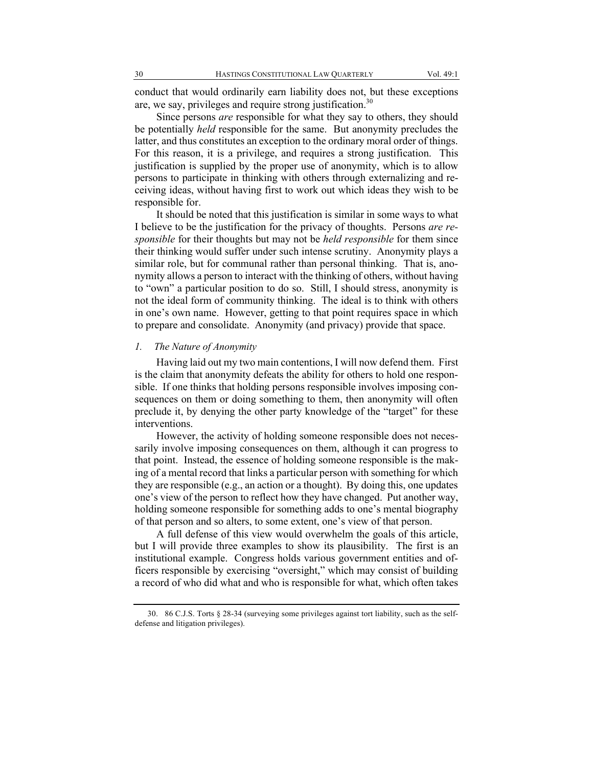conduct that would ordinarily earn liability does not, but these exceptions are, we say, privileges and require strong justification.<sup>30</sup>

Since persons *are* responsible for what they say to others, they should be potentially *held* responsible for the same. But anonymity precludes the latter, and thus constitutes an exception to the ordinary moral order of things. For this reason, it is a privilege, and requires a strong justification. This justification is supplied by the proper use of anonymity, which is to allow persons to participate in thinking with others through externalizing and receiving ideas, without having first to work out which ideas they wish to be responsible for.

It should be noted that this justification is similar in some ways to what I believe to be the justification for the privacy of thoughts. Persons *are responsible* for their thoughts but may not be *held responsible* for them since their thinking would suffer under such intense scrutiny. Anonymity plays a similar role, but for communal rather than personal thinking. That is, anonymity allows a person to interact with the thinking of others, without having to "own" a particular position to do so. Still, I should stress, anonymity is not the ideal form of community thinking. The ideal is to think with others in one's own name. However, getting to that point requires space in which to prepare and consolidate. Anonymity (and privacy) provide that space.

#### *1. The Nature of Anonymity*

Having laid out my two main contentions, I will now defend them. First is the claim that anonymity defeats the ability for others to hold one responsible. If one thinks that holding persons responsible involves imposing consequences on them or doing something to them, then anonymity will often preclude it, by denying the other party knowledge of the "target" for these interventions.

However, the activity of holding someone responsible does not necessarily involve imposing consequences on them, although it can progress to that point. Instead, the essence of holding someone responsible is the making of a mental record that links a particular person with something for which they are responsible (e.g., an action or a thought). By doing this, one updates one's view of the person to reflect how they have changed. Put another way, holding someone responsible for something adds to one's mental biography of that person and so alters, to some extent, one's view of that person.

A full defense of this view would overwhelm the goals of this article, but I will provide three examples to show its plausibility. The first is an institutional example. Congress holds various government entities and officers responsible by exercising "oversight," which may consist of building a record of who did what and who is responsible for what, which often takes

<sup>30.</sup> 86 C.J.S. Torts § 28-34 (surveying some privileges against tort liability, such as the selfdefense and litigation privileges).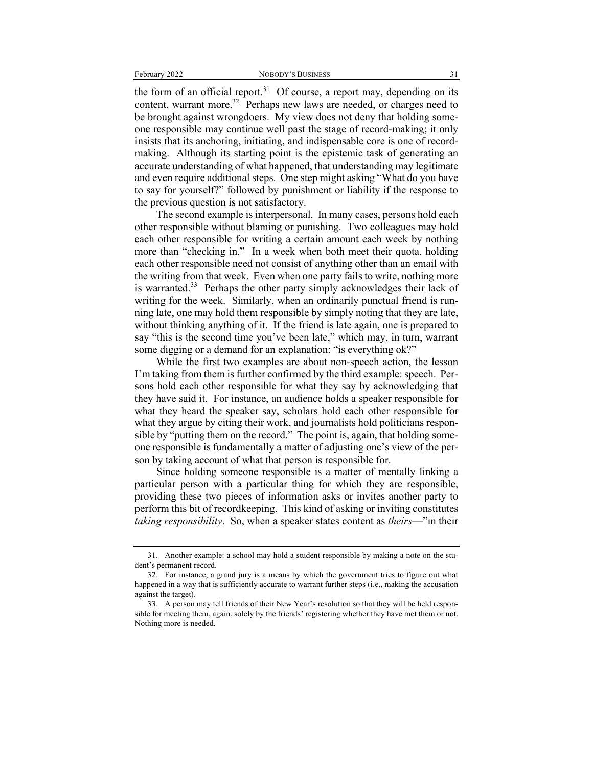the form of an official report.<sup>31</sup> Of course, a report may, depending on its content, warrant more.<sup>32</sup> Perhaps new laws are needed, or charges need to be brought against wrongdoers. My view does not deny that holding someone responsible may continue well past the stage of record-making; it only insists that its anchoring, initiating, and indispensable core is one of recordmaking. Although its starting point is the epistemic task of generating an accurate understanding of what happened, that understanding may legitimate and even require additional steps. One step might asking "What do you have to say for yourself?" followed by punishment or liability if the response to the previous question is not satisfactory.

The second example is interpersonal. In many cases, persons hold each other responsible without blaming or punishing. Two colleagues may hold each other responsible for writing a certain amount each week by nothing more than "checking in." In a week when both meet their quota, holding each other responsible need not consist of anything other than an email with the writing from that week. Even when one party fails to write, nothing more is warranted.<sup>33</sup> Perhaps the other party simply acknowledges their lack of writing for the week. Similarly, when an ordinarily punctual friend is running late, one may hold them responsible by simply noting that they are late, without thinking anything of it. If the friend is late again, one is prepared to say "this is the second time you've been late," which may, in turn, warrant some digging or a demand for an explanation: "is everything ok?"

While the first two examples are about non-speech action, the lesson I'm taking from them is further confirmed by the third example: speech. Persons hold each other responsible for what they say by acknowledging that they have said it. For instance, an audience holds a speaker responsible for what they heard the speaker say, scholars hold each other responsible for what they argue by citing their work, and journalists hold politicians responsible by "putting them on the record." The point is, again, that holding someone responsible is fundamentally a matter of adjusting one's view of the person by taking account of what that person is responsible for.

Since holding someone responsible is a matter of mentally linking a particular person with a particular thing for which they are responsible, providing these two pieces of information asks or invites another party to perform this bit of recordkeeping. This kind of asking or inviting constitutes *taking responsibility*. So, when a speaker states content as *theirs*—"in their

<sup>31.</sup> Another example: a school may hold a student responsible by making a note on the student's permanent record.

<sup>32.</sup> For instance, a grand jury is a means by which the government tries to figure out what happened in a way that is sufficiently accurate to warrant further steps (i.e., making the accusation against the target).

<sup>33.</sup> A person may tell friends of their New Year's resolution so that they will be held responsible for meeting them, again, solely by the friends' registering whether they have met them or not. Nothing more is needed.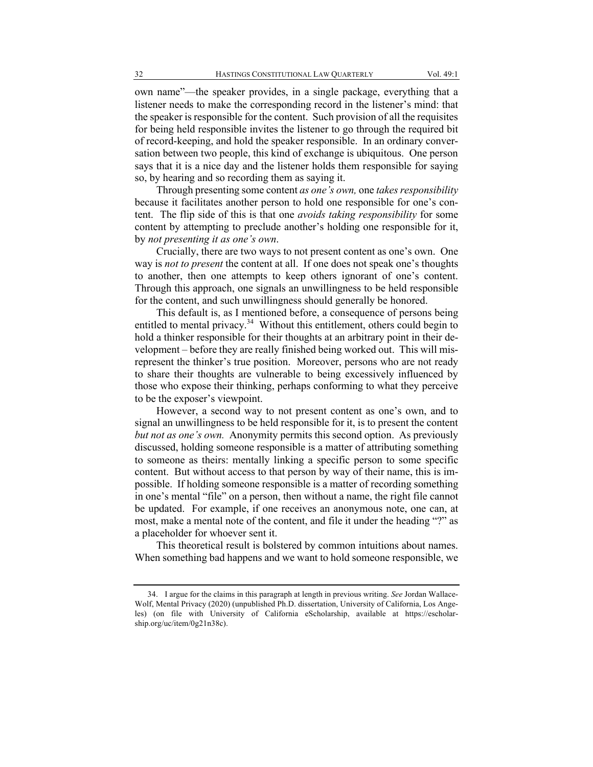own name"—the speaker provides, in a single package, everything that a listener needs to make the corresponding record in the listener's mind: that the speaker is responsible for the content. Such provision of all the requisites for being held responsible invites the listener to go through the required bit of record-keeping, and hold the speaker responsible. In an ordinary conversation between two people, this kind of exchange is ubiquitous. One person says that it is a nice day and the listener holds them responsible for saying so, by hearing and so recording them as saying it.

Through presenting some content *as one's own,* one *takes responsibility* because it facilitates another person to hold one responsible for one's content. The flip side of this is that one *avoids taking responsibility* for some content by attempting to preclude another's holding one responsible for it, by *not presenting it as one's own*.

Crucially, there are two ways to not present content as one's own. One way is *not to present* the content at all. If one does not speak one's thoughts to another, then one attempts to keep others ignorant of one's content. Through this approach, one signals an unwillingness to be held responsible for the content, and such unwillingness should generally be honored.

This default is, as I mentioned before, a consequence of persons being entitled to mental privacy.<sup>34</sup> Without this entitlement, others could begin to hold a thinker responsible for their thoughts at an arbitrary point in their development – before they are really finished being worked out. This will misrepresent the thinker's true position. Moreover, persons who are not ready to share their thoughts are vulnerable to being excessively influenced by those who expose their thinking, perhaps conforming to what they perceive to be the exposer's viewpoint.

However, a second way to not present content as one's own, and to signal an unwillingness to be held responsible for it, is to present the content *but not as one's own.* Anonymity permits this second option. As previously discussed, holding someone responsible is a matter of attributing something to someone as theirs: mentally linking a specific person to some specific content. But without access to that person by way of their name, this is impossible. If holding someone responsible is a matter of recording something in one's mental "file" on a person, then without a name, the right file cannot be updated. For example, if one receives an anonymous note, one can, at most, make a mental note of the content, and file it under the heading "?" as a placeholder for whoever sent it.

This theoretical result is bolstered by common intuitions about names. When something bad happens and we want to hold someone responsible, we

<sup>34.</sup> I argue for the claims in this paragraph at length in previous writing. *See* Jordan Wallace-Wolf, Mental Privacy (2020) (unpublished Ph.D. dissertation, University of California, Los Angeles) (on file with University of California eScholarship, available at https://escholarship.org/uc/item/0g21n38c).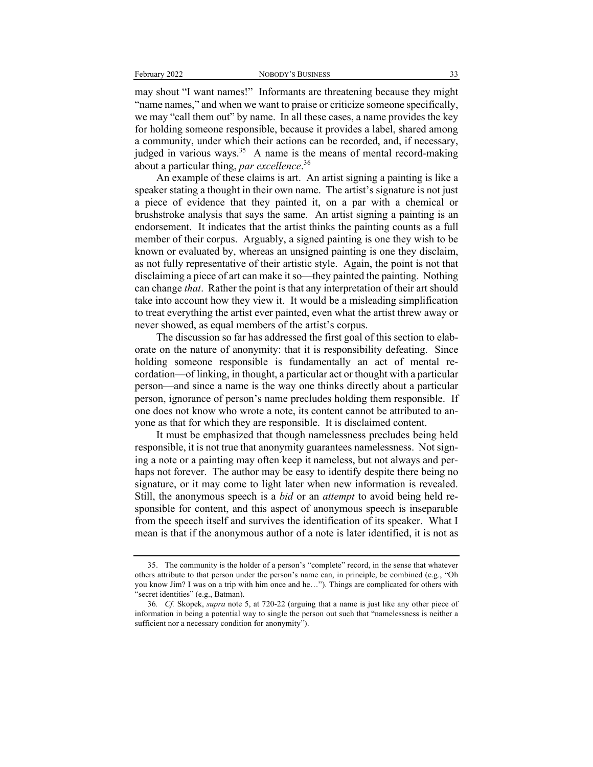may shout "I want names!" Informants are threatening because they might "name names," and when we want to praise or criticize someone specifically, we may "call them out" by name. In all these cases, a name provides the key for holding someone responsible, because it provides a label, shared among a community, under which their actions can be recorded, and, if necessary, judged in various ways.<sup>35</sup> A name is the means of mental record-making about a particular thing, *par excellence*. 36

An example of these claims is art. An artist signing a painting is like a speaker stating a thought in their own name. The artist's signature is not just a piece of evidence that they painted it, on a par with a chemical or brushstroke analysis that says the same. An artist signing a painting is an endorsement. It indicates that the artist thinks the painting counts as a full member of their corpus. Arguably, a signed painting is one they wish to be known or evaluated by, whereas an unsigned painting is one they disclaim, as not fully representative of their artistic style. Again, the point is not that disclaiming a piece of art can make it so—they painted the painting. Nothing can change *that*. Rather the point is that any interpretation of their art should take into account how they view it. It would be a misleading simplification to treat everything the artist ever painted, even what the artist threw away or never showed, as equal members of the artist's corpus.

The discussion so far has addressed the first goal of this section to elaborate on the nature of anonymity: that it is responsibility defeating. Since holding someone responsible is fundamentally an act of mental recordation—of linking, in thought, a particular act or thought with a particular person—and since a name is the way one thinks directly about a particular person, ignorance of person's name precludes holding them responsible. If one does not know who wrote a note, its content cannot be attributed to anyone as that for which they are responsible. It is disclaimed content.

It must be emphasized that though namelessness precludes being held responsible, it is not true that anonymity guarantees namelessness. Not signing a note or a painting may often keep it nameless, but not always and perhaps not forever. The author may be easy to identify despite there being no signature, or it may come to light later when new information is revealed. Still, the anonymous speech is a *bid* or an *attempt* to avoid being held responsible for content, and this aspect of anonymous speech is inseparable from the speech itself and survives the identification of its speaker. What I mean is that if the anonymous author of a note is later identified, it is not as

<sup>35.</sup> The community is the holder of a person's "complete" record, in the sense that whatever others attribute to that person under the person's name can, in principle, be combined (e.g., "Oh you know Jim? I was on a trip with him once and he…"). Things are complicated for others with "secret identities" (e.g., Batman).

<sup>36</sup>*. Cf.* Skopek, *supra* note 5, at 720-22 (arguing that a name is just like any other piece of information in being a potential way to single the person out such that "namelessness is neither a sufficient nor a necessary condition for anonymity").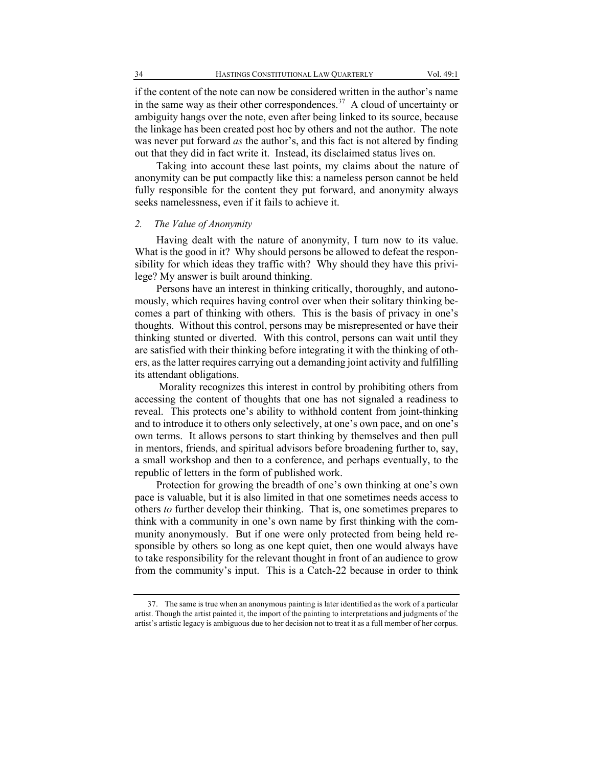if the content of the note can now be considered written in the author's name in the same way as their other correspondences.<sup>37</sup> A cloud of uncertainty or ambiguity hangs over the note, even after being linked to its source, because the linkage has been created post hoc by others and not the author. The note was never put forward *as* the author's, and this fact is not altered by finding out that they did in fact write it. Instead, its disclaimed status lives on.

Taking into account these last points, my claims about the nature of anonymity can be put compactly like this: a nameless person cannot be held fully responsible for the content they put forward, and anonymity always seeks namelessness, even if it fails to achieve it.

#### *2. The Value of Anonymity*

Having dealt with the nature of anonymity, I turn now to its value. What is the good in it? Why should persons be allowed to defeat the responsibility for which ideas they traffic with? Why should they have this privilege? My answer is built around thinking.

Persons have an interest in thinking critically, thoroughly, and autonomously, which requires having control over when their solitary thinking becomes a part of thinking with others. This is the basis of privacy in one's thoughts. Without this control, persons may be misrepresented or have their thinking stunted or diverted. With this control, persons can wait until they are satisfied with their thinking before integrating it with the thinking of others, as the latter requires carrying out a demanding joint activity and fulfilling its attendant obligations.

Morality recognizes this interest in control by prohibiting others from accessing the content of thoughts that one has not signaled a readiness to reveal. This protects one's ability to withhold content from joint-thinking and to introduce it to others only selectively, at one's own pace, and on one's own terms. It allows persons to start thinking by themselves and then pull in mentors, friends, and spiritual advisors before broadening further to, say, a small workshop and then to a conference, and perhaps eventually, to the republic of letters in the form of published work.

Protection for growing the breadth of one's own thinking at one's own pace is valuable, but it is also limited in that one sometimes needs access to others *to* further develop their thinking. That is, one sometimes prepares to think with a community in one's own name by first thinking with the community anonymously. But if one were only protected from being held responsible by others so long as one kept quiet, then one would always have to take responsibility for the relevant thought in front of an audience to grow from the community's input. This is a Catch-22 because in order to think

<sup>37.</sup> The same is true when an anonymous painting is later identified as the work of a particular artist. Though the artist painted it, the import of the painting to interpretations and judgments of the artist's artistic legacy is ambiguous due to her decision not to treat it as a full member of her corpus.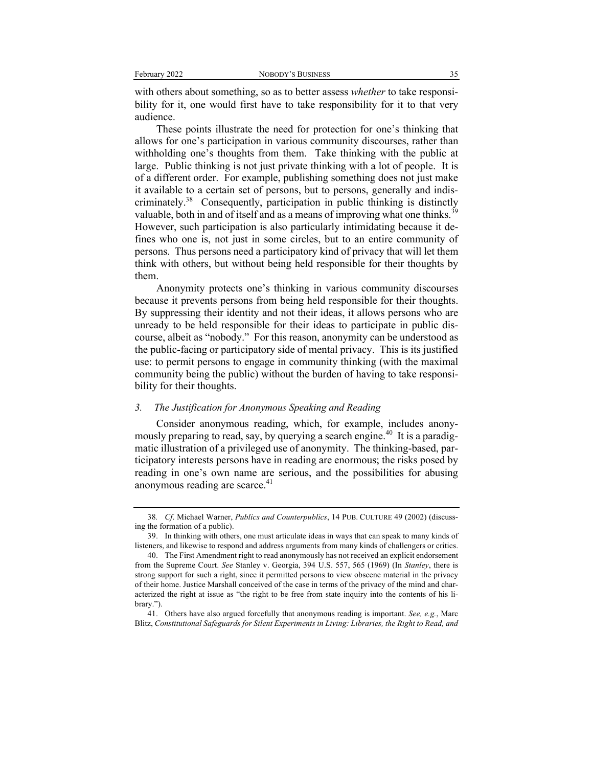with others about something, so as to better assess *whether* to take responsibility for it, one would first have to take responsibility for it to that very audience.

These points illustrate the need for protection for one's thinking that allows for one's participation in various community discourses, rather than withholding one's thoughts from them. Take thinking with the public at large. Public thinking is not just private thinking with a lot of people. It is of a different order. For example, publishing something does not just make it available to a certain set of persons, but to persons, generally and indiscriminately.<sup>38</sup> Consequently, participation in public thinking is distinctly valuable, both in and of itself and as a means of improving what one thinks.<sup>39</sup> However, such participation is also particularly intimidating because it defines who one is, not just in some circles, but to an entire community of persons. Thus persons need a participatory kind of privacy that will let them think with others, but without being held responsible for their thoughts by them.

Anonymity protects one's thinking in various community discourses because it prevents persons from being held responsible for their thoughts. By suppressing their identity and not their ideas, it allows persons who are unready to be held responsible for their ideas to participate in public discourse, albeit as "nobody." For this reason, anonymity can be understood as the public-facing or participatory side of mental privacy. This is its justified use: to permit persons to engage in community thinking (with the maximal community being the public) without the burden of having to take responsibility for their thoughts.

#### *3. The Justification for Anonymous Speaking and Reading*

Consider anonymous reading, which, for example, includes anonymously preparing to read, say, by querying a search engine.<sup>40</sup> It is a paradigmatic illustration of a privileged use of anonymity. The thinking-based, participatory interests persons have in reading are enormous; the risks posed by reading in one's own name are serious, and the possibilities for abusing anonymous reading are scarce. $41$ 

<sup>38</sup>*. Cf*. Michael Warner, *Publics and Counterpublics*, 14 PUB. CULTURE 49 (2002) (discussing the formation of a public).

<sup>39.</sup> In thinking with others, one must articulate ideas in ways that can speak to many kinds of listeners, and likewise to respond and address arguments from many kinds of challengers or critics.

<sup>40.</sup> The First Amendment right to read anonymously has not received an explicit endorsement from the Supreme Court. *See* Stanley v. Georgia, 394 U.S. 557, 565 (1969) (In *Stanley*, there is strong support for such a right, since it permitted persons to view obscene material in the privacy of their home. Justice Marshall conceived of the case in terms of the privacy of the mind and characterized the right at issue as "the right to be free from state inquiry into the contents of his library.").

<sup>41.</sup> Others have also argued forcefully that anonymous reading is important. *See, e.g.*, Marc Blitz, *Constitutional Safeguards for Silent Experiments in Living: Libraries, the Right to Read, and*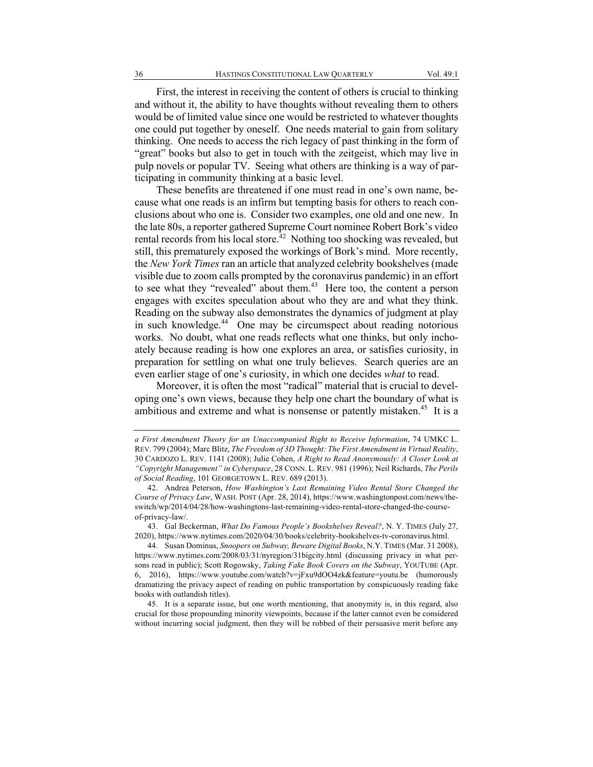First, the interest in receiving the content of others is crucial to thinking and without it, the ability to have thoughts without revealing them to others would be of limited value since one would be restricted to whatever thoughts one could put together by oneself. One needs material to gain from solitary thinking. One needs to access the rich legacy of past thinking in the form of "great" books but also to get in touch with the zeitgeist, which may live in pulp novels or popular TV. Seeing what others are thinking is a way of participating in community thinking at a basic level.

These benefits are threatened if one must read in one's own name, because what one reads is an infirm but tempting basis for others to reach conclusions about who one is. Consider two examples, one old and one new. In the late 80s, a reporter gathered Supreme Court nominee Robert Bork's video rental records from his local store.<sup>42</sup> Nothing too shocking was revealed, but still, this prematurely exposed the workings of Bork's mind. More recently, the *New York Times* ran an article that analyzed celebrity bookshelves (made visible due to zoom calls prompted by the coronavirus pandemic) in an effort to see what they "revealed" about them.<sup>43</sup> Here too, the content a person engages with excites speculation about who they are and what they think. Reading on the subway also demonstrates the dynamics of judgment at play in such knowledge.44 One may be circumspect about reading notorious works. No doubt, what one reads reflects what one thinks, but only inchoately because reading is how one explores an area, or satisfies curiosity, in preparation for settling on what one truly believes. Search queries are an even earlier stage of one's curiosity, in which one decides *what* to read.

Moreover, it is often the most "radical" material that is crucial to developing one's own views, because they help one chart the boundary of what is ambitious and extreme and what is nonsense or patently mistaken.<sup>45</sup> It is a

43. Gal Beckerman, *What Do Famous People's Bookshelves Reveal?*, N. Y. TIMES (July 27, 2020), https://www.nytimes.com/2020/04/30/books/celebrity-bookshelves-tv-coronavirus.html.

*a First Amendment Theory for an Unaccompanied Right to Receive Information*, 74 UMKC L. REV. 799 (2004); Marc Blitz, *The Freedom of 3D Thought: The First Amendment in Virtual Reality*, 30 CARDOZO L. REV. 1141 (2008); Julie Cohen, *A Right to Read Anonymously: A Closer Look at "Copyright Management" in Cyberspace*, 28 CONN. L. REV. 981 (1996); Neil Richards, *The Perils of Social Reading*, 101 GEORGETOWN L. REV. 689 (2013).

<sup>42.</sup> Andrea Peterson, *How Washington's Last Remaining Video Rental Store Changed the Course of Privacy Law*, WASH. POST (Apr. 28, 2014), https://www.washingtonpost.com/news/theswitch/wp/2014/04/28/how-washingtons-last-remaining-video-rental-store-changed-the-courseof-privacy-law/.

<sup>44.</sup> Susan Dominus, *Snoopers on Subway, Beware Digital Books*, N.Y. TIMES (Mar. 31 2008), https://www.nytimes.com/2008/03/31/nyregion/31bigcity.html (discussing privacy in what persons read in public); Scott Rogowsky, *Taking Fake Book Covers on the Subway*, YOUTUBE (Apr. 6, 2016), https://www.youtube.com/watch?v=jFxu9dOO4zk&feature=youtu.be (humorously dramatizing the privacy aspect of reading on public transportation by conspicuously reading fake books with outlandish titles).

<sup>45.</sup> It is a separate issue, but one worth mentioning, that anonymity is, in this regard, also crucial for those propounding minority viewpoints, because if the latter cannot even be considered without incurring social judgment, then they will be robbed of their persuasive merit before any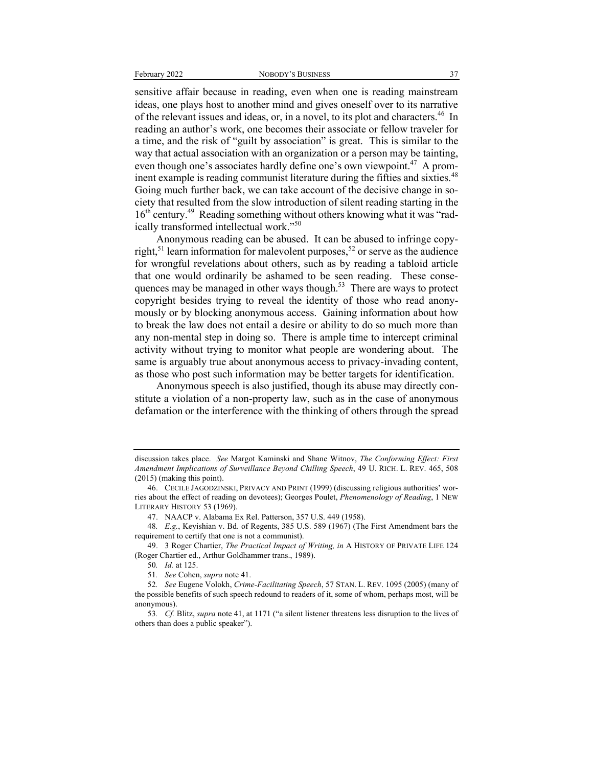sensitive affair because in reading, even when one is reading mainstream ideas, one plays host to another mind and gives oneself over to its narrative of the relevant issues and ideas, or, in a novel, to its plot and characters.<sup>46</sup> In reading an author's work, one becomes their associate or fellow traveler for a time, and the risk of "guilt by association" is great. This is similar to the way that actual association with an organization or a person may be tainting, even though one's associates hardly define one's own viewpoint.<sup>47</sup> A prominent example is reading communist literature during the fifties and sixties.<sup>48</sup> Going much further back, we can take account of the decisive change in society that resulted from the slow introduction of silent reading starting in the 16<sup>th</sup> century.<sup>49</sup> Reading something without others knowing what it was "radically transformed intellectual work."<sup>50</sup>

Anonymous reading can be abused. It can be abused to infringe copyright,<sup>51</sup> learn information for malevolent purposes,<sup>52</sup> or serve as the audience for wrongful revelations about others, such as by reading a tabloid article that one would ordinarily be ashamed to be seen reading. These consequences may be managed in other ways though. $53$  There are ways to protect copyright besides trying to reveal the identity of those who read anonymously or by blocking anonymous access. Gaining information about how to break the law does not entail a desire or ability to do so much more than any non-mental step in doing so. There is ample time to intercept criminal activity without trying to monitor what people are wondering about. The same is arguably true about anonymous access to privacy-invading content, as those who post such information may be better targets for identification.

Anonymous speech is also justified, though its abuse may directly constitute a violation of a non-property law, such as in the case of anonymous defamation or the interference with the thinking of others through the spread

discussion takes place. *See* Margot Kaminski and Shane Witnov, *The Conforming Effect: First Amendment Implications of Surveillance Beyond Chilling Speech*, 49 U. RICH. L. REV. 465, 508 (2015) (making this point).

<sup>46.</sup> CECILE JAGODZINSKI, PRIVACY AND PRINT (1999) (discussing religious authorities' worries about the effect of reading on devotees); Georges Poulet, *Phenomenology of Reading*, 1 NEW LITERARY HISTORY 53 (1969).

<sup>47.</sup> NAACP v. Alabama Ex Rel. Patterson, 357 U.S. 449 (1958).

<sup>48</sup>*. E.g.*, Keyishian v. Bd. of Regents, 385 U.S. 589 (1967) (The First Amendment bars the requirement to certify that one is not a communist).

<sup>49.</sup> 3 Roger Chartier, *The Practical Impact of Writing, in* A HISTORY OF PRIVATE LIFE 124 (Roger Chartier ed., Arthur Goldhammer trans., 1989).

<sup>50</sup>*. Id.* at 125.

<sup>51</sup>*. See* Cohen, *supra* note 41.

<sup>52</sup>*. See* Eugene Volokh, *Crime-Facilitating Speech*, 57 STAN. L. REV. 1095 (2005) (many of the possible benefits of such speech redound to readers of it, some of whom, perhaps most, will be anonymous).

<sup>53</sup>*. Cf.* Blitz, *supra* note 41, at 1171 ("a silent listener threatens less disruption to the lives of others than does a public speaker").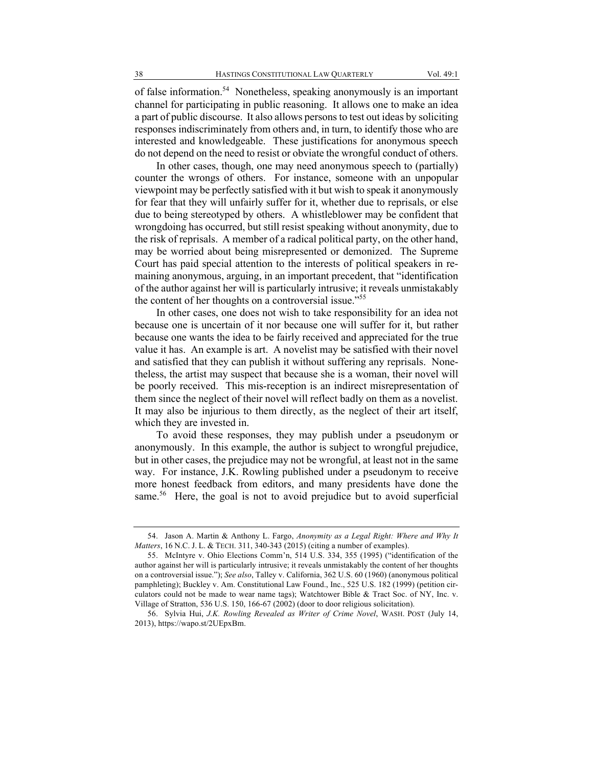of false information.<sup>54</sup> Nonetheless, speaking anonymously is an important channel for participating in public reasoning. It allows one to make an idea a part of public discourse. It also allows persons to test out ideas by soliciting responses indiscriminately from others and, in turn, to identify those who are interested and knowledgeable. These justifications for anonymous speech do not depend on the need to resist or obviate the wrongful conduct of others.

In other cases, though, one may need anonymous speech to (partially) counter the wrongs of others. For instance, someone with an unpopular viewpoint may be perfectly satisfied with it but wish to speak it anonymously for fear that they will unfairly suffer for it, whether due to reprisals, or else due to being stereotyped by others. A whistleblower may be confident that wrongdoing has occurred, but still resist speaking without anonymity, due to the risk of reprisals. A member of a radical political party, on the other hand, may be worried about being misrepresented or demonized. The Supreme Court has paid special attention to the interests of political speakers in remaining anonymous, arguing, in an important precedent, that "identification of the author against her will is particularly intrusive; it reveals unmistakably the content of her thoughts on a controversial issue."<sup>55</sup>

In other cases, one does not wish to take responsibility for an idea not because one is uncertain of it nor because one will suffer for it, but rather because one wants the idea to be fairly received and appreciated for the true value it has. An example is art. A novelist may be satisfied with their novel and satisfied that they can publish it without suffering any reprisals. Nonetheless, the artist may suspect that because she is a woman, their novel will be poorly received. This mis-reception is an indirect misrepresentation of them since the neglect of their novel will reflect badly on them as a novelist. It may also be injurious to them directly, as the neglect of their art itself, which they are invested in.

To avoid these responses, they may publish under a pseudonym or anonymously. In this example, the author is subject to wrongful prejudice, but in other cases, the prejudice may not be wrongful, at least not in the same way. For instance, J.K. Rowling published under a pseudonym to receive more honest feedback from editors, and many presidents have done the same.<sup>56</sup> Here, the goal is not to avoid prejudice but to avoid superficial

<sup>54.</sup> Jason A. Martin & Anthony L. Fargo, *Anonymity as a Legal Right: Where and Why It Matters*, 16 N.C. J. L. & TECH. 311, 340-343 (2015) (citing a number of examples).

<sup>55.</sup> McIntyre v. Ohio Elections Comm'n, 514 U.S. 334, 355 (1995) ("identification of the author against her will is particularly intrusive; it reveals unmistakably the content of her thoughts on a controversial issue."); *See also*, Talley v. California, 362 U.S. 60 (1960) (anonymous political pamphleting); Buckley v. Am. Constitutional Law Found., Inc., 525 U.S. 182 (1999) (petition circulators could not be made to wear name tags); Watchtower Bible & Tract Soc. of NY, Inc. v. Village of Stratton, 536 U.S. 150, 166-67 (2002) (door to door religious solicitation).

<sup>56.</sup> Sylvia Hui, *J.K. Rowling Revealed as Writer of Crime Novel*, WASH. POST (July 14, 2013), https://wapo.st/2UEpxBm.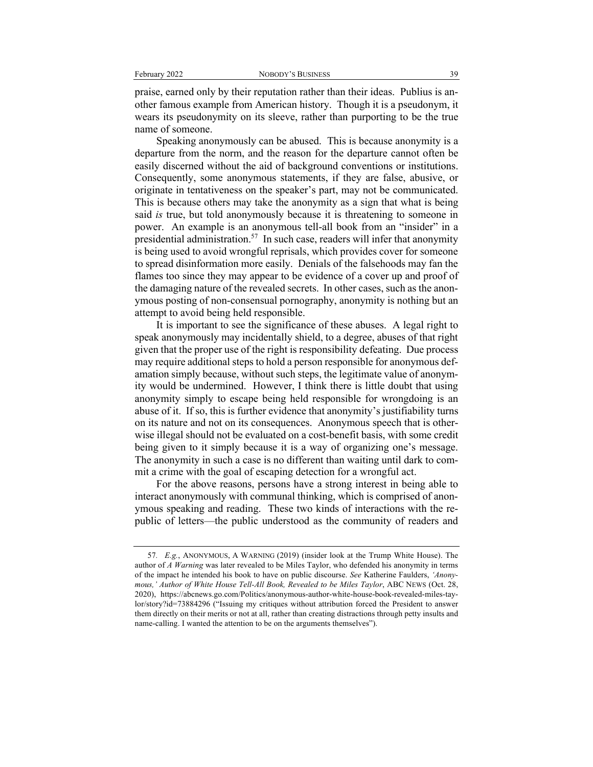praise, earned only by their reputation rather than their ideas. Publius is another famous example from American history. Though it is a pseudonym, it wears its pseudonymity on its sleeve, rather than purporting to be the true name of someone.

Speaking anonymously can be abused. This is because anonymity is a departure from the norm, and the reason for the departure cannot often be easily discerned without the aid of background conventions or institutions. Consequently, some anonymous statements, if they are false, abusive, or originate in tentativeness on the speaker's part, may not be communicated. This is because others may take the anonymity as a sign that what is being said *is* true, but told anonymously because it is threatening to someone in power. An example is an anonymous tell-all book from an "insider" in a presidential administration.<sup>57</sup> In such case, readers will infer that anonymity is being used to avoid wrongful reprisals, which provides cover for someone to spread disinformation more easily. Denials of the falsehoods may fan the flames too since they may appear to be evidence of a cover up and proof of the damaging nature of the revealed secrets. In other cases, such as the anonymous posting of non-consensual pornography, anonymity is nothing but an attempt to avoid being held responsible.

It is important to see the significance of these abuses. A legal right to speak anonymously may incidentally shield, to a degree, abuses of that right given that the proper use of the right is responsibility defeating. Due process may require additional steps to hold a person responsible for anonymous defamation simply because, without such steps, the legitimate value of anonymity would be undermined. However, I think there is little doubt that using anonymity simply to escape being held responsible for wrongdoing is an abuse of it. If so, this is further evidence that anonymity's justifiability turns on its nature and not on its consequences. Anonymous speech that is otherwise illegal should not be evaluated on a cost-benefit basis, with some credit being given to it simply because it is a way of organizing one's message. The anonymity in such a case is no different than waiting until dark to commit a crime with the goal of escaping detection for a wrongful act.

For the above reasons, persons have a strong interest in being able to interact anonymously with communal thinking, which is comprised of anonymous speaking and reading. These two kinds of interactions with the republic of letters—the public understood as the community of readers and

<sup>57</sup>*. E.g.*, ANONYMOUS, A WARNING (2019) (insider look at the Trump White House). The author of *A Warning* was later revealed to be Miles Taylor, who defended his anonymity in terms of the impact he intended his book to have on public discourse. *See* Katherine Faulders, *'Anonymous,' Author of White House Tell-All Book, Revealed to be Miles Taylor*, ABC NEWS (Oct. 28, 2020), https://abcnews.go.com/Politics/anonymous-author-white-house-book-revealed-miles-taylor/story?id=73884296 ("Issuing my critiques without attribution forced the President to answer them directly on their merits or not at all, rather than creating distractions through petty insults and name-calling. I wanted the attention to be on the arguments themselves").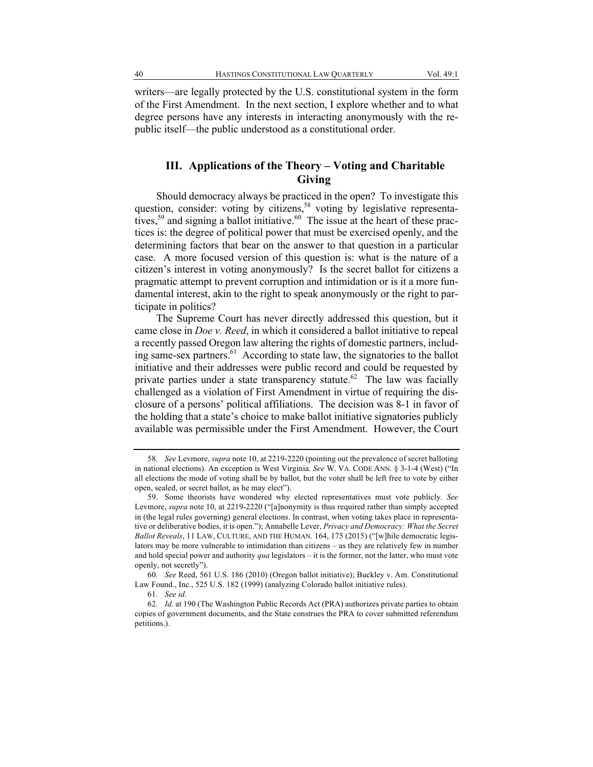writers—are legally protected by the U.S. constitutional system in the form of the First Amendment. In the next section, I explore whether and to what degree persons have any interests in interacting anonymously with the republic itself—the public understood as a constitutional order.

### **III. Applications of the Theory – Voting and Charitable Giving**

Should democracy always be practiced in the open? To investigate this question, consider: voting by citizens,<sup>58</sup> voting by legislative representatives,<sup>59</sup> and signing a ballot initiative.<sup>60</sup> The issue at the heart of these practices is: the degree of political power that must be exercised openly, and the determining factors that bear on the answer to that question in a particular case. A more focused version of this question is: what is the nature of a citizen's interest in voting anonymously? Is the secret ballot for citizens a pragmatic attempt to prevent corruption and intimidation or is it a more fundamental interest, akin to the right to speak anonymously or the right to participate in politics?

The Supreme Court has never directly addressed this question, but it came close in *Doe v. Reed*, in which it considered a ballot initiative to repeal a recently passed Oregon law altering the rights of domestic partners, including same-sex partners. $61$  According to state law, the signatories to the ballot initiative and their addresses were public record and could be requested by private parties under a state transparency statute.<sup>62</sup> The law was facially challenged as a violation of First Amendment in virtue of requiring the disclosure of a persons' political affiliations. The decision was 8-1 in favor of the holding that a state's choice to make ballot initiative signatories publicly available was permissible under the First Amendment. However, the Court

<sup>58</sup>*. See* Levmore, *supra* note 10, at 2219-2220 (pointing out the prevalence of secret balloting in national elections). An exception is West Virginia. *See* W. VA. CODE ANN. § 3-1-4 (West) ("In all elections the mode of voting shall be by ballot, but the voter shall be left free to vote by either open, sealed, or secret ballot, as he may elect").

<sup>59.</sup> Some theorists have wondered why elected representatives must vote publicly. *See* Levmore, *supra* note 10, at 2219-2220 ("[a]nonymity is thus required rather than simply accepted in (the legal rules governing) general elections. In contrast, when voting takes place in representative or deliberative bodies, it is open."); Annabelle Lever, *Privacy and Democracy: What the Secret Ballot Reveals*, 11 LAW, CULTURE, AND THE HUMAN. 164, 175 (2015) ("[w]hile democratic legislators may be more vulnerable to intimidation than citizens – as they are relatively few in number and hold special power and authority *qua* legislators – it is the former, not the latter, who must vote openly, not secretly").

<sup>60</sup>*. See* Reed, 561 U.S. 186 (2010) (Oregon ballot initiative); Buckley v. Am. Constitutional Law Found., Inc., 525 U.S. 182 (1999) (analyzing Colorado ballot initiative rules).

<sup>61</sup>*. See id.*

<sup>62</sup>*. Id.* at 190 (The Washington Public Records Act (PRA) authorizes private parties to obtain copies of government documents, and the State construes the PRA to cover submitted referendum petitions.).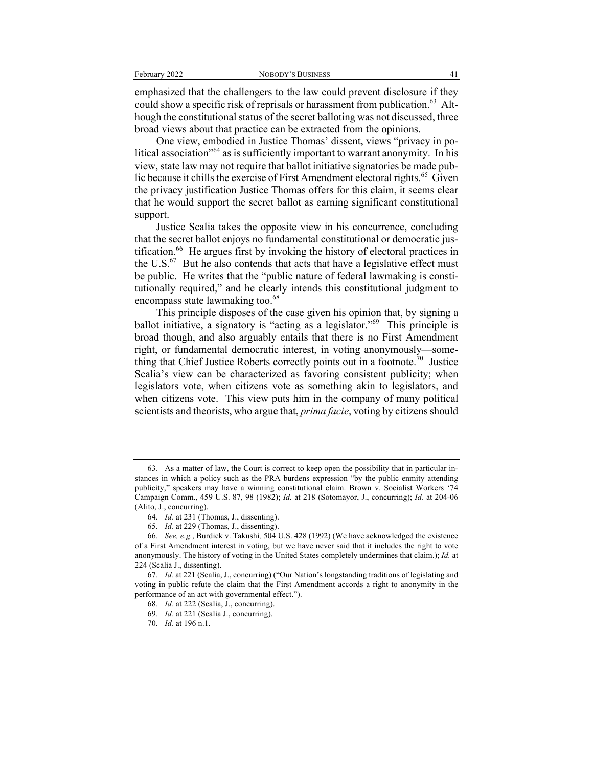emphasized that the challengers to the law could prevent disclosure if they could show a specific risk of reprisals or harassment from publication.<sup>63</sup> Although the constitutional status of the secret balloting was not discussed, three broad views about that practice can be extracted from the opinions.

One view, embodied in Justice Thomas' dissent, views "privacy in political association<sup>"64</sup> as is sufficiently important to warrant anonymity. In his view, state law may not require that ballot initiative signatories be made public because it chills the exercise of First Amendment electoral rights.<sup>65</sup> Given the privacy justification Justice Thomas offers for this claim, it seems clear that he would support the secret ballot as earning significant constitutional support.

Justice Scalia takes the opposite view in his concurrence, concluding that the secret ballot enjoys no fundamental constitutional or democratic justification.<sup>66</sup> He argues first by invoking the history of electoral practices in the  $U.S.^{67}$  But he also contends that acts that have a legislative effect must be public. He writes that the "public nature of federal lawmaking is constitutionally required," and he clearly intends this constitutional judgment to encompass state lawmaking too.<sup>68</sup>

This principle disposes of the case given his opinion that, by signing a ballot initiative, a signatory is "acting as a legislator."69 This principle is broad though, and also arguably entails that there is no First Amendment right, or fundamental democratic interest, in voting anonymously—something that Chief Justice Roberts correctly points out in a footnote.<sup>70</sup> Justice Scalia's view can be characterized as favoring consistent publicity; when legislators vote, when citizens vote as something akin to legislators, and when citizens vote. This view puts him in the company of many political scientists and theorists, who argue that, *prima facie*, voting by citizens should

<sup>63.</sup> As a matter of law, the Court is correct to keep open the possibility that in particular instances in which a policy such as the PRA burdens expression "by the public enmity attending publicity," speakers may have a winning constitutional claim. Brown v. Socialist Workers '74 Campaign Comm., 459 U.S. 87, 98 (1982); *Id.* at 218 (Sotomayor, J., concurring); *Id.* at 204-06 (Alito, J., concurring).

<sup>64</sup>*. Id.* at 231 (Thomas, J., dissenting).

<sup>65</sup>*. Id.* at 229 (Thomas, J., dissenting).

<sup>66</sup>*. See, e.g.*, Burdick v. Takushi*,* 504 U.S. 428 (1992) (We have acknowledged the existence of a First Amendment interest in voting, but we have never said that it includes the right to vote anonymously. The history of voting in the United States completely undermines that claim.); *Id.* at 224 (Scalia J., dissenting).

<sup>67</sup>*. Id.* at 221 (Scalia, J., concurring) ("Our Nation's longstanding traditions of legislating and voting in public refute the claim that the First Amendment accords a right to anonymity in the performance of an act with governmental effect.").

<sup>68</sup>*. Id.* at 222 (Scalia, J., concurring).

<sup>69</sup>*. Id.* at 221 (Scalia J., concurring).

<sup>70</sup>*. Id.* at 196 n.1.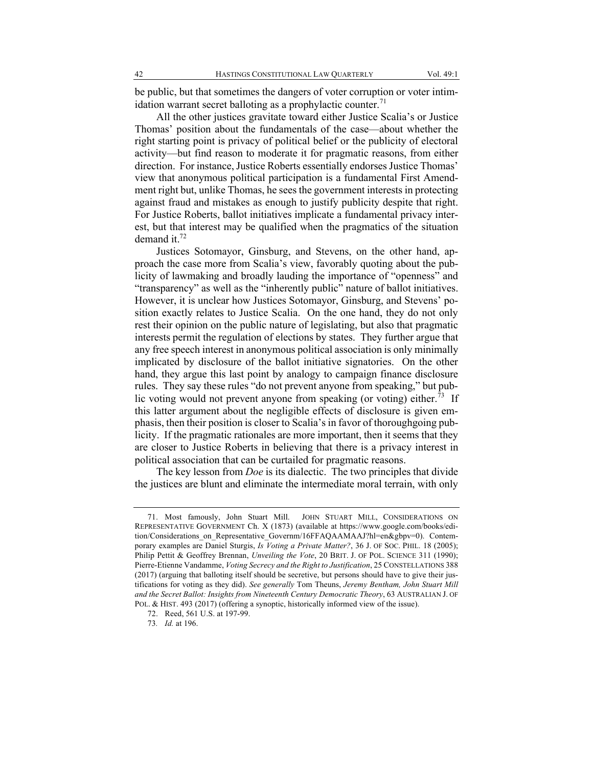be public, but that sometimes the dangers of voter corruption or voter intimidation warrant secret balloting as a prophylactic counter. $71$ 

All the other justices gravitate toward either Justice Scalia's or Justice Thomas' position about the fundamentals of the case—about whether the right starting point is privacy of political belief or the publicity of electoral activity—but find reason to moderate it for pragmatic reasons, from either direction. For instance, Justice Roberts essentially endorses Justice Thomas' view that anonymous political participation is a fundamental First Amendment right but, unlike Thomas, he sees the government interests in protecting against fraud and mistakes as enough to justify publicity despite that right. For Justice Roberts, ballot initiatives implicate a fundamental privacy interest, but that interest may be qualified when the pragmatics of the situation demand it.<sup>72</sup>

Justices Sotomayor, Ginsburg, and Stevens, on the other hand, approach the case more from Scalia's view, favorably quoting about the publicity of lawmaking and broadly lauding the importance of "openness" and "transparency" as well as the "inherently public" nature of ballot initiatives. However, it is unclear how Justices Sotomayor, Ginsburg, and Stevens' position exactly relates to Justice Scalia. On the one hand, they do not only rest their opinion on the public nature of legislating, but also that pragmatic interests permit the regulation of elections by states. They further argue that any free speech interest in anonymous political association is only minimally implicated by disclosure of the ballot initiative signatories. On the other hand, they argue this last point by analogy to campaign finance disclosure rules. They say these rules "do not prevent anyone from speaking," but public voting would not prevent anyone from speaking (or voting) either.<sup>73</sup> If this latter argument about the negligible effects of disclosure is given emphasis, then their position is closer to Scalia's in favor of thoroughgoing publicity. If the pragmatic rationales are more important, then it seems that they are closer to Justice Roberts in believing that there is a privacy interest in political association that can be curtailed for pragmatic reasons.

The key lesson from *Doe* is its dialectic. The two principles that divide the justices are blunt and eliminate the intermediate moral terrain, with only

<sup>71.</sup> Most famously, John Stuart Mill. JOHN STUART MILL, CONSIDERATIONS ON REPRESENTATIVE GOVERNMENT Ch. X (1873) (available at https://www.google.com/books/edition/Considerations\_on\_Representative\_Governm/16FFAQAAMAAJ?hl=en&gbpv=0). Contemporary examples are Daniel Sturgis, *Is Voting a Private Matter?*, 36 J. OF SOC. PHIL. 18 (2005); Philip Pettit & Geoffrey Brennan, *Unveiling the Vote*, 20 BRIT. J. OF POL. SCIENCE 311 (1990); Pierre-Etienne Vandamme, *Voting Secrecy and the Right to Justification*, 25 CONSTELLATIONS 388 (2017) (arguing that balloting itself should be secretive, but persons should have to give their justifications for voting as they did). *See generally* Tom Theuns, *Jeremy Bentham, John Stuart Mill and the Secret Ballot: Insights from Nineteenth Century Democratic Theory*, 63 AUSTRALIAN J. OF POL. & HIST. 493 (2017) (offering a synoptic, historically informed view of the issue).

<sup>72.</sup> Reed, 561 U.S. at 197-99.

<sup>73</sup>*. Id.* at 196.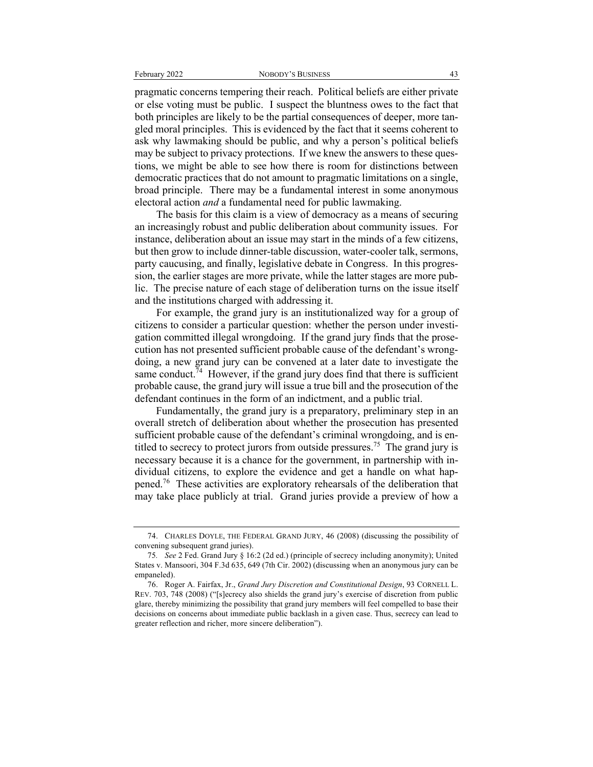pragmatic concerns tempering their reach. Political beliefs are either private or else voting must be public. I suspect the bluntness owes to the fact that both principles are likely to be the partial consequences of deeper, more tangled moral principles. This is evidenced by the fact that it seems coherent to ask why lawmaking should be public, and why a person's political beliefs may be subject to privacy protections. If we knew the answers to these questions, we might be able to see how there is room for distinctions between democratic practices that do not amount to pragmatic limitations on a single, broad principle. There may be a fundamental interest in some anonymous electoral action *and* a fundamental need for public lawmaking.

The basis for this claim is a view of democracy as a means of securing an increasingly robust and public deliberation about community issues. For instance, deliberation about an issue may start in the minds of a few citizens, but then grow to include dinner-table discussion, water-cooler talk, sermons, party caucusing, and finally, legislative debate in Congress. In this progression, the earlier stages are more private, while the latter stages are more public. The precise nature of each stage of deliberation turns on the issue itself and the institutions charged with addressing it.

For example, the grand jury is an institutionalized way for a group of citizens to consider a particular question: whether the person under investigation committed illegal wrongdoing. If the grand jury finds that the prosecution has not presented sufficient probable cause of the defendant's wrongdoing, a new grand jury can be convened at a later date to investigate the same conduct.<sup> $74$ </sup> However, if the grand jury does find that there is sufficient probable cause, the grand jury will issue a true bill and the prosecution of the defendant continues in the form of an indictment, and a public trial.

Fundamentally, the grand jury is a preparatory, preliminary step in an overall stretch of deliberation about whether the prosecution has presented sufficient probable cause of the defendant's criminal wrongdoing, and is entitled to secrecy to protect jurors from outside pressures.<sup>75</sup> The grand jury is necessary because it is a chance for the government, in partnership with individual citizens, to explore the evidence and get a handle on what happened.<sup>76</sup> These activities are exploratory rehearsals of the deliberation that may take place publicly at trial. Grand juries provide a preview of how a

<sup>74.</sup> CHARLES DOYLE, THE FEDERAL GRAND JURY, 46 (2008) (discussing the possibility of convening subsequent grand juries).

<sup>75</sup>*. See* 2 Fed. Grand Jury § 16:2 (2d ed.) (principle of secrecy including anonymity); United States v. Mansoori, 304 F.3d 635, 649 (7th Cir. 2002) (discussing when an anonymous jury can be empaneled).

<sup>76.</sup> Roger A. Fairfax, Jr., *Grand Jury Discretion and Constitutional Design*, 93 CORNELL L. REV. 703, 748 (2008) ("[s]ecrecy also shields the grand jury's exercise of discretion from public glare, thereby minimizing the possibility that grand jury members will feel compelled to base their decisions on concerns about immediate public backlash in a given case. Thus, secrecy can lead to greater reflection and richer, more sincere deliberation").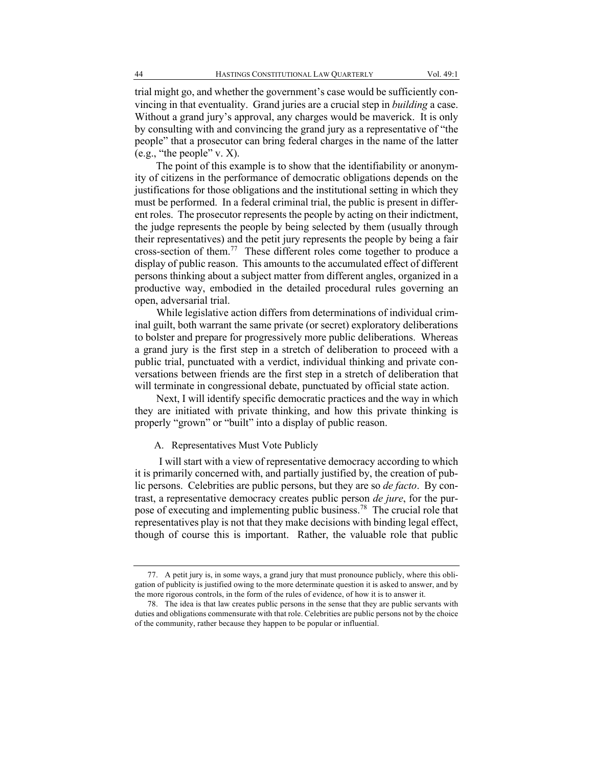trial might go, and whether the government's case would be sufficiently convincing in that eventuality. Grand juries are a crucial step in *building* a case. Without a grand jury's approval, any charges would be maverick. It is only by consulting with and convincing the grand jury as a representative of "the people" that a prosecutor can bring federal charges in the name of the latter (e.g., "the people" v. X).

The point of this example is to show that the identifiability or anonymity of citizens in the performance of democratic obligations depends on the justifications for those obligations and the institutional setting in which they must be performed. In a federal criminal trial, the public is present in different roles. The prosecutor represents the people by acting on their indictment, the judge represents the people by being selected by them (usually through their representatives) and the petit jury represents the people by being a fair cross-section of them.<sup>77</sup> These different roles come together to produce a display of public reason. This amounts to the accumulated effect of different persons thinking about a subject matter from different angles, organized in a productive way, embodied in the detailed procedural rules governing an open, adversarial trial.

While legislative action differs from determinations of individual criminal guilt, both warrant the same private (or secret) exploratory deliberations to bolster and prepare for progressively more public deliberations. Whereas a grand jury is the first step in a stretch of deliberation to proceed with a public trial, punctuated with a verdict, individual thinking and private conversations between friends are the first step in a stretch of deliberation that will terminate in congressional debate, punctuated by official state action.

Next, I will identify specific democratic practices and the way in which they are initiated with private thinking, and how this private thinking is properly "grown" or "built" into a display of public reason.

A. Representatives Must Vote Publicly

I will start with a view of representative democracy according to which it is primarily concerned with, and partially justified by, the creation of public persons. Celebrities are public persons, but they are so *de facto*. By contrast, a representative democracy creates public person *de jure*, for the purpose of executing and implementing public business.<sup>78</sup> The crucial role that representatives play is not that they make decisions with binding legal effect, though of course this is important. Rather, the valuable role that public

<sup>77.</sup> A petit jury is, in some ways, a grand jury that must pronounce publicly, where this obligation of publicity is justified owing to the more determinate question it is asked to answer, and by the more rigorous controls, in the form of the rules of evidence, of how it is to answer it.

<sup>78.</sup> The idea is that law creates public persons in the sense that they are public servants with duties and obligations commensurate with that role. Celebrities are public persons not by the choice of the community, rather because they happen to be popular or influential.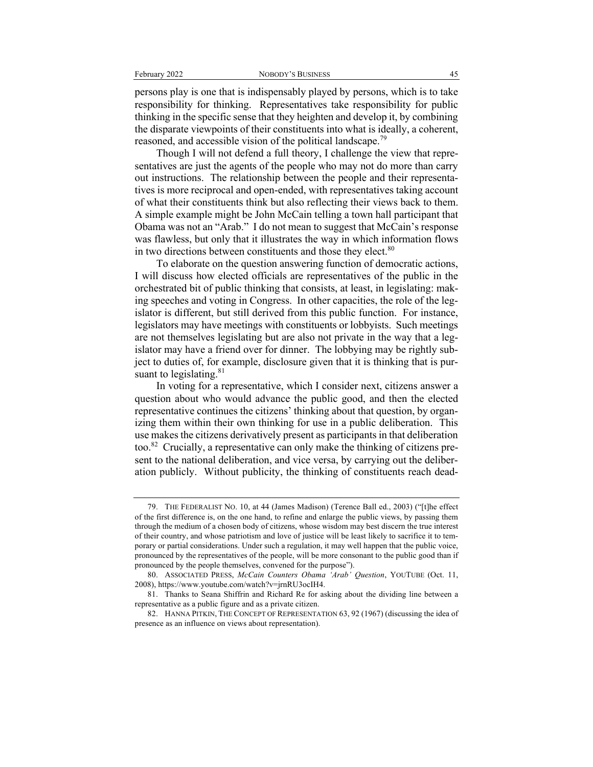persons play is one that is indispensably played by persons, which is to take responsibility for thinking. Representatives take responsibility for public thinking in the specific sense that they heighten and develop it, by combining the disparate viewpoints of their constituents into what is ideally, a coherent, reasoned, and accessible vision of the political landscape.<sup>79</sup>

Though I will not defend a full theory, I challenge the view that representatives are just the agents of the people who may not do more than carry out instructions. The relationship between the people and their representatives is more reciprocal and open-ended, with representatives taking account of what their constituents think but also reflecting their views back to them. A simple example might be John McCain telling a town hall participant that Obama was not an "Arab." I do not mean to suggest that McCain's response was flawless, but only that it illustrates the way in which information flows in two directions between constituents and those they elect. $80$ 

To elaborate on the question answering function of democratic actions, I will discuss how elected officials are representatives of the public in the orchestrated bit of public thinking that consists, at least, in legislating: making speeches and voting in Congress. In other capacities, the role of the legislator is different, but still derived from this public function. For instance, legislators may have meetings with constituents or lobbyists. Such meetings are not themselves legislating but are also not private in the way that a legislator may have a friend over for dinner. The lobbying may be rightly subject to duties of, for example, disclosure given that it is thinking that is pursuant to legislating. $81$ 

In voting for a representative, which I consider next, citizens answer a question about who would advance the public good, and then the elected representative continues the citizens' thinking about that question, by organizing them within their own thinking for use in a public deliberation. This use makes the citizens derivatively present as participants in that deliberation too.82 Crucially, a representative can only make the thinking of citizens present to the national deliberation, and vice versa, by carrying out the deliberation publicly. Without publicity, the thinking of constituents reach dead-

<sup>79.</sup> THE FEDERALIST NO. 10, at 44 (James Madison) (Terence Ball ed., 2003) ("[t]he effect of the first difference is, on the one hand, to refine and enlarge the public views, by passing them through the medium of a chosen body of citizens, whose wisdom may best discern the true interest of their country, and whose patriotism and love of justice will be least likely to sacrifice it to temporary or partial considerations. Under such a regulation, it may well happen that the public voice, pronounced by the representatives of the people, will be more consonant to the public good than if pronounced by the people themselves, convened for the purpose").

<sup>80.</sup> ASSOCIATED PRESS, *McCain Counters Obama 'Arab' Question*, YOUTUBE (Oct. 11, 2008), https://www.youtube.com/watch?v=jrnRU3ocIH4.

<sup>81.</sup> Thanks to Seana Shiffrin and Richard Re for asking about the dividing line between a representative as a public figure and as a private citizen.

<sup>82.</sup> HANNA PITKIN, THE CONCEPT OF REPRESENTATION 63, 92 (1967) (discussing the idea of presence as an influence on views about representation).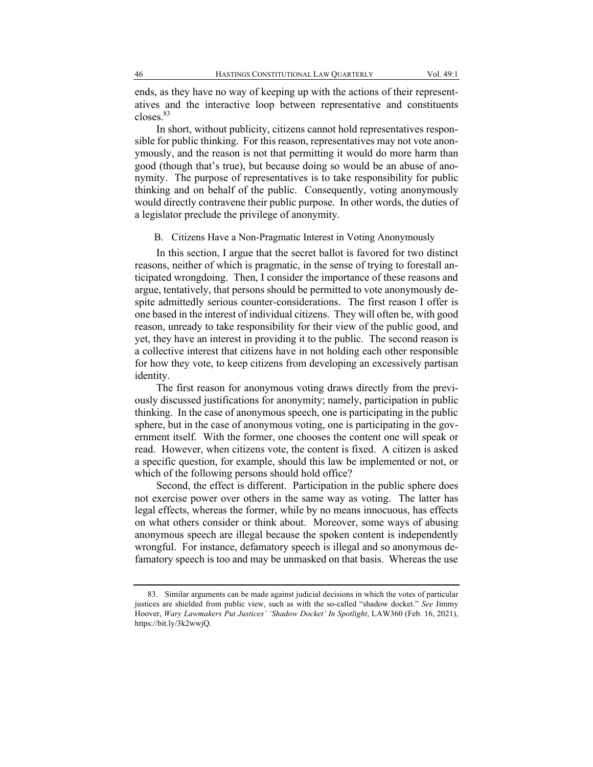ends, as they have no way of keeping up with the actions of their representatives and the interactive loop between representative and constituents closes.<sup>83</sup>

In short, without publicity, citizens cannot hold representatives responsible for public thinking. For this reason, representatives may not vote anonymously, and the reason is not that permitting it would do more harm than good (though that's true), but because doing so would be an abuse of anonymity. The purpose of representatives is to take responsibility for public thinking and on behalf of the public. Consequently, voting anonymously would directly contravene their public purpose. In other words, the duties of a legislator preclude the privilege of anonymity.

B. Citizens Have a Non-Pragmatic Interest in Voting Anonymously

In this section, I argue that the secret ballot is favored for two distinct reasons, neither of which is pragmatic, in the sense of trying to forestall anticipated wrongdoing. Then, I consider the importance of these reasons and argue, tentatively, that persons should be permitted to vote anonymously despite admittedly serious counter-considerations. The first reason I offer is one based in the interest of individual citizens. They will often be, with good reason, unready to take responsibility for their view of the public good, and yet, they have an interest in providing it to the public. The second reason is a collective interest that citizens have in not holding each other responsible for how they vote, to keep citizens from developing an excessively partisan identity.

The first reason for anonymous voting draws directly from the previously discussed justifications for anonymity; namely, participation in public thinking. In the case of anonymous speech, one is participating in the public sphere, but in the case of anonymous voting, one is participating in the government itself. With the former, one chooses the content one will speak or read. However, when citizens vote, the content is fixed. A citizen is asked a specific question, for example, should this law be implemented or not, or which of the following persons should hold office?

Second, the effect is different. Participation in the public sphere does not exercise power over others in the same way as voting. The latter has legal effects, whereas the former, while by no means innocuous, has effects on what others consider or think about. Moreover, some ways of abusing anonymous speech are illegal because the spoken content is independently wrongful. For instance, defamatory speech is illegal and so anonymous defamatory speech is too and may be unmasked on that basis. Whereas the use

<sup>83.</sup> Similar arguments can be made against judicial decisions in which the votes of particular justices are shielded from public view, such as with the so-called "shadow docket." *See* Jimmy Hoover, *Wary Lawmakers Put Justices' 'Shadow Docket' In Spotlight*, LAW360 (Feb. 16, 2021), https://bit.ly/3k2wwjQ.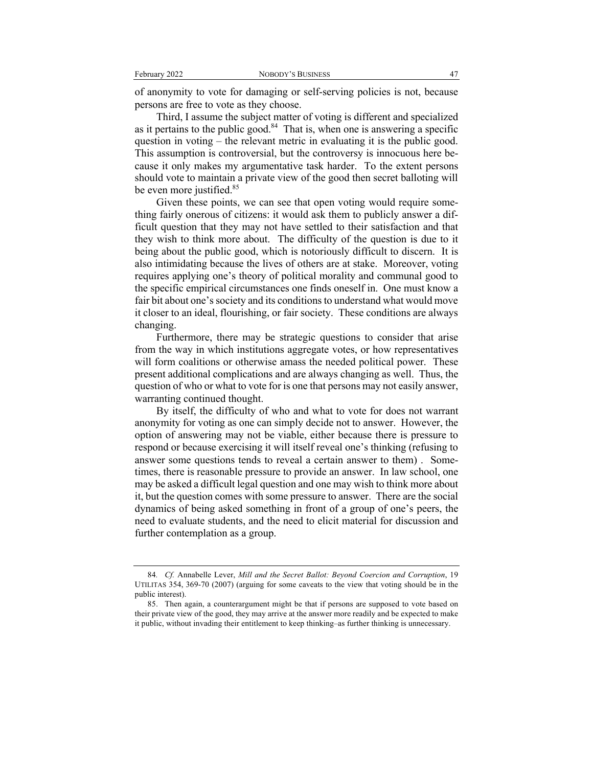of anonymity to vote for damaging or self-serving policies is not, because persons are free to vote as they choose.

Third, I assume the subject matter of voting is different and specialized as it pertains to the public good. $84$  That is, when one is answering a specific question in voting – the relevant metric in evaluating it is the public good. This assumption is controversial, but the controversy is innocuous here because it only makes my argumentative task harder. To the extent persons should vote to maintain a private view of the good then secret balloting will be even more justified.<sup>85</sup>

Given these points, we can see that open voting would require something fairly onerous of citizens: it would ask them to publicly answer a difficult question that they may not have settled to their satisfaction and that they wish to think more about. The difficulty of the question is due to it being about the public good, which is notoriously difficult to discern. It is also intimidating because the lives of others are at stake. Moreover, voting requires applying one's theory of political morality and communal good to the specific empirical circumstances one finds oneself in. One must know a fair bit about one's society and its conditions to understand what would move it closer to an ideal, flourishing, or fair society. These conditions are always changing.

Furthermore, there may be strategic questions to consider that arise from the way in which institutions aggregate votes, or how representatives will form coalitions or otherwise amass the needed political power. These present additional complications and are always changing as well. Thus, the question of who or what to vote for is one that persons may not easily answer, warranting continued thought.

By itself, the difficulty of who and what to vote for does not warrant anonymity for voting as one can simply decide not to answer. However, the option of answering may not be viable, either because there is pressure to respond or because exercising it will itself reveal one's thinking (refusing to answer some questions tends to reveal a certain answer to them) . Sometimes, there is reasonable pressure to provide an answer. In law school, one may be asked a difficult legal question and one may wish to think more about it, but the question comes with some pressure to answer. There are the social dynamics of being asked something in front of a group of one's peers, the need to evaluate students, and the need to elicit material for discussion and further contemplation as a group.

<sup>84</sup>*. Cf.* Annabelle Lever, *Mill and the Secret Ballot: Beyond Coercion and Corruption*, 19 UTILITAS 354, 369-70 (2007) (arguing for some caveats to the view that voting should be in the public interest).

<sup>85.</sup> Then again, a counterargument might be that if persons are supposed to vote based on their private view of the good, they may arrive at the answer more readily and be expected to make it public, without invading their entitlement to keep thinking–as further thinking is unnecessary.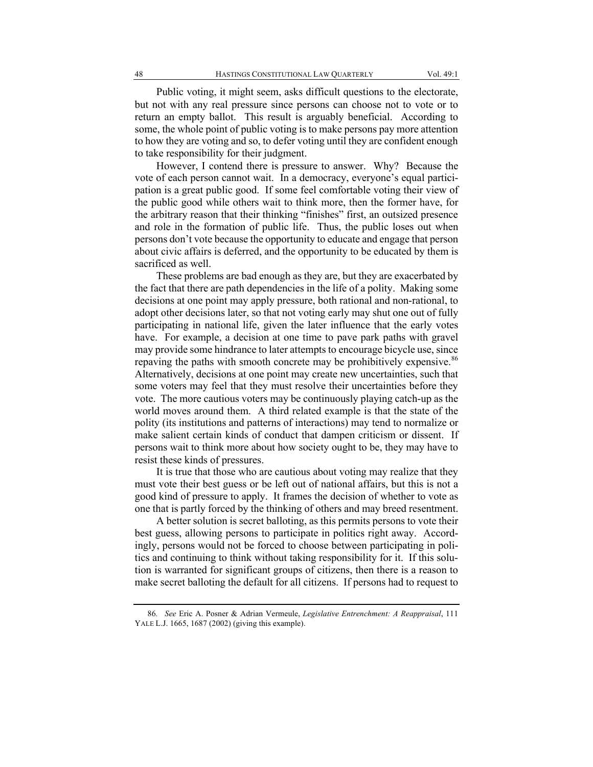Public voting, it might seem, asks difficult questions to the electorate, but not with any real pressure since persons can choose not to vote or to return an empty ballot. This result is arguably beneficial. According to some, the whole point of public voting is to make persons pay more attention to how they are voting and so, to defer voting until they are confident enough to take responsibility for their judgment.

However, I contend there is pressure to answer. Why? Because the vote of each person cannot wait. In a democracy, everyone's equal participation is a great public good. If some feel comfortable voting their view of the public good while others wait to think more, then the former have, for the arbitrary reason that their thinking "finishes" first, an outsized presence and role in the formation of public life. Thus, the public loses out when persons don't vote because the opportunity to educate and engage that person about civic affairs is deferred, and the opportunity to be educated by them is sacrificed as well.

These problems are bad enough as they are, but they are exacerbated by the fact that there are path dependencies in the life of a polity. Making some decisions at one point may apply pressure, both rational and non-rational, to adopt other decisions later, so that not voting early may shut one out of fully participating in national life, given the later influence that the early votes have. For example, a decision at one time to pave park paths with gravel may provide some hindrance to later attempts to encourage bicycle use, since repaving the paths with smooth concrete may be prohibitively expensive.<sup>86</sup> Alternatively, decisions at one point may create new uncertainties, such that some voters may feel that they must resolve their uncertainties before they vote. The more cautious voters may be continuously playing catch-up as the world moves around them. A third related example is that the state of the polity (its institutions and patterns of interactions) may tend to normalize or make salient certain kinds of conduct that dampen criticism or dissent. If persons wait to think more about how society ought to be, they may have to resist these kinds of pressures.

It is true that those who are cautious about voting may realize that they must vote their best guess or be left out of national affairs, but this is not a good kind of pressure to apply. It frames the decision of whether to vote as one that is partly forced by the thinking of others and may breed resentment.

A better solution is secret balloting, as this permits persons to vote their best guess, allowing persons to participate in politics right away. Accordingly, persons would not be forced to choose between participating in politics and continuing to think without taking responsibility for it. If this solution is warranted for significant groups of citizens, then there is a reason to make secret balloting the default for all citizens. If persons had to request to

<sup>86</sup>*. See* Eric A. Posner & Adrian Vermeule, *Legislative Entrenchment: A Reappraisal*, 111 YALE L.J. 1665, 1687 (2002) (giving this example).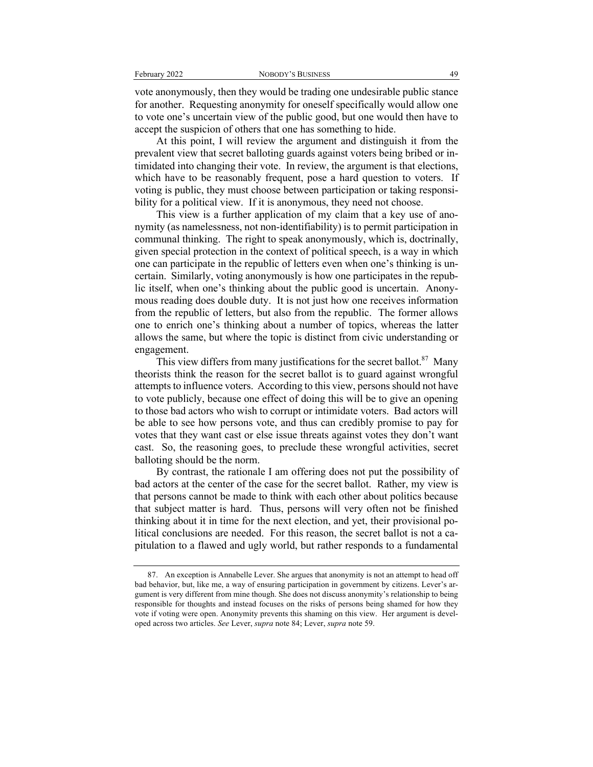vote anonymously, then they would be trading one undesirable public stance for another. Requesting anonymity for oneself specifically would allow one to vote one's uncertain view of the public good, but one would then have to accept the suspicion of others that one has something to hide.

At this point, I will review the argument and distinguish it from the prevalent view that secret balloting guards against voters being bribed or intimidated into changing their vote. In review, the argument is that elections, which have to be reasonably frequent, pose a hard question to voters. If voting is public, they must choose between participation or taking responsibility for a political view. If it is anonymous, they need not choose.

This view is a further application of my claim that a key use of anonymity (as namelessness, not non-identifiability) is to permit participation in communal thinking. The right to speak anonymously, which is, doctrinally, given special protection in the context of political speech, is a way in which one can participate in the republic of letters even when one's thinking is uncertain. Similarly, voting anonymously is how one participates in the republic itself, when one's thinking about the public good is uncertain. Anonymous reading does double duty. It is not just how one receives information from the republic of letters, but also from the republic. The former allows one to enrich one's thinking about a number of topics, whereas the latter allows the same, but where the topic is distinct from civic understanding or engagement.

This view differs from many justifications for the secret ballot. $87$  Many theorists think the reason for the secret ballot is to guard against wrongful attempts to influence voters. According to this view, persons should not have to vote publicly, because one effect of doing this will be to give an opening to those bad actors who wish to corrupt or intimidate voters. Bad actors will be able to see how persons vote, and thus can credibly promise to pay for votes that they want cast or else issue threats against votes they don't want cast. So, the reasoning goes, to preclude these wrongful activities, secret balloting should be the norm.

By contrast, the rationale I am offering does not put the possibility of bad actors at the center of the case for the secret ballot. Rather, my view is that persons cannot be made to think with each other about politics because that subject matter is hard. Thus, persons will very often not be finished thinking about it in time for the next election, and yet, their provisional political conclusions are needed. For this reason, the secret ballot is not a capitulation to a flawed and ugly world, but rather responds to a fundamental

<sup>87.</sup> An exception is Annabelle Lever. She argues that anonymity is not an attempt to head off bad behavior, but, like me, a way of ensuring participation in government by citizens. Lever's argument is very different from mine though. She does not discuss anonymity's relationship to being responsible for thoughts and instead focuses on the risks of persons being shamed for how they vote if voting were open. Anonymity prevents this shaming on this view. Her argument is developed across two articles. *See* Lever, *supra* note 84; Lever, *supra* note 59.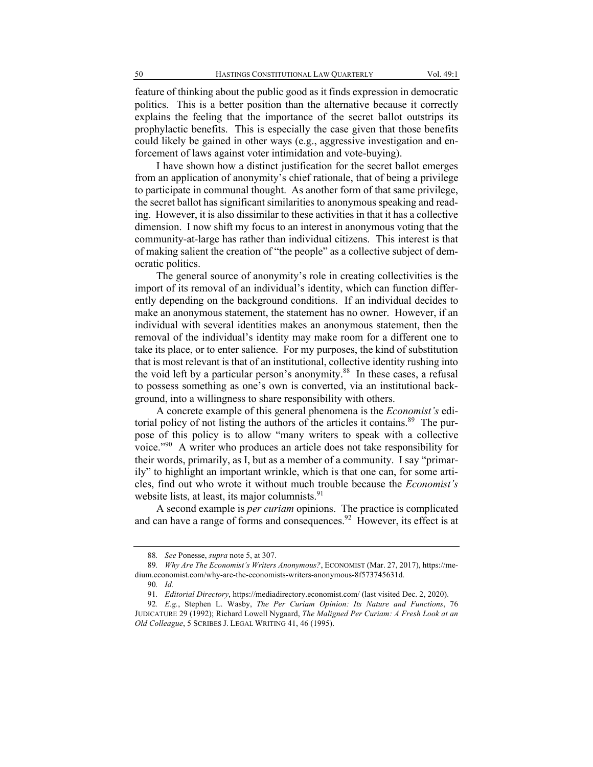feature of thinking about the public good as it finds expression in democratic politics. This is a better position than the alternative because it correctly explains the feeling that the importance of the secret ballot outstrips its prophylactic benefits. This is especially the case given that those benefits could likely be gained in other ways (e.g., aggressive investigation and enforcement of laws against voter intimidation and vote-buying).

I have shown how a distinct justification for the secret ballot emerges from an application of anonymity's chief rationale, that of being a privilege to participate in communal thought. As another form of that same privilege, the secret ballot has significant similarities to anonymous speaking and reading. However, it is also dissimilar to these activities in that it has a collective dimension. I now shift my focus to an interest in anonymous voting that the community-at-large has rather than individual citizens. This interest is that of making salient the creation of "the people" as a collective subject of democratic politics.

The general source of anonymity's role in creating collectivities is the import of its removal of an individual's identity, which can function differently depending on the background conditions. If an individual decides to make an anonymous statement, the statement has no owner. However, if an individual with several identities makes an anonymous statement, then the removal of the individual's identity may make room for a different one to take its place, or to enter salience. For my purposes, the kind of substitution that is most relevant is that of an institutional, collective identity rushing into the void left by a particular person's anonymity. $88$  In these cases, a refusal to possess something as one's own is converted, via an institutional background, into a willingness to share responsibility with others.

A concrete example of this general phenomena is the *Economist's* editorial policy of not listing the authors of the articles it contains.<sup>89</sup> The purpose of this policy is to allow "many writers to speak with a collective voice."90 A writer who produces an article does not take responsibility for their words, primarily, as I, but as a member of a community. I say "primarily" to highlight an important wrinkle, which is that one can, for some articles, find out who wrote it without much trouble because the *Economist's*  website lists, at least, its major columnists.<sup>91</sup>

A second example is *per curiam* opinions. The practice is complicated and can have a range of forms and consequences.<sup>92</sup> However, its effect is at

<sup>88</sup>*. See* Ponesse, *supra* note 5, at 307.

<sup>89</sup>*. Why Are The Economist's Writers Anonymous?*, ECONOMIST (Mar. 27, 2017), https://medium.economist.com/why-are-the-economists-writers-anonymous-8f573745631d.

<sup>90</sup>*. Id.*

<sup>91</sup>*. Editorial Directory*, https://mediadirectory.economist.com/ (last visited Dec. 2, 2020).

<sup>92</sup>*. E.g.*, Stephen L. Wasby, *The Per Curiam Opinion: Its Nature and Functions*, 76 JUDICATURE 29 (1992); Richard Lowell Nygaard, *The Maligned Per Curiam: A Fresh Look at an Old Colleague*, 5 SCRIBES J. LEGAL WRITING 41, 46 (1995).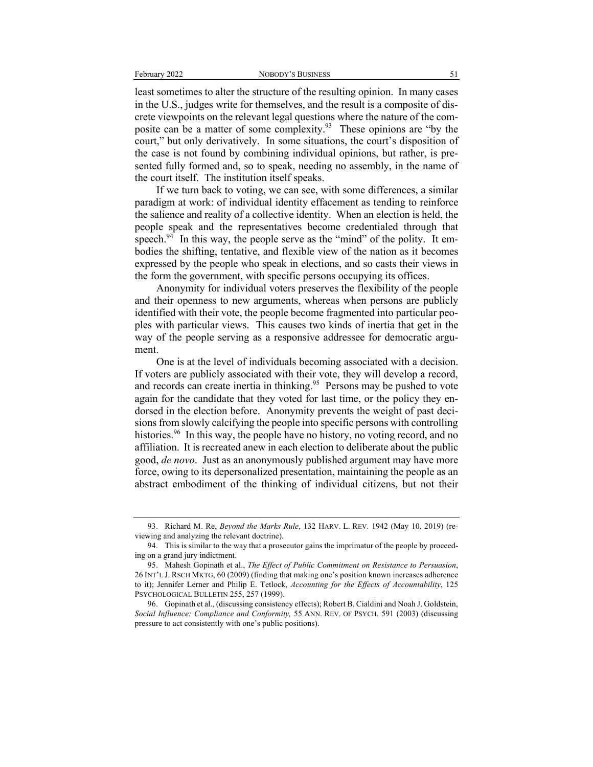least sometimes to alter the structure of the resulting opinion. In many cases in the U.S., judges write for themselves, and the result is a composite of discrete viewpoints on the relevant legal questions where the nature of the composite can be a matter of some complexity.93 These opinions are "by the court," but only derivatively. In some situations, the court's disposition of the case is not found by combining individual opinions, but rather, is presented fully formed and, so to speak, needing no assembly, in the name of the court itself. The institution itself speaks.

If we turn back to voting, we can see, with some differences, a similar paradigm at work: of individual identity effacement as tending to reinforce the salience and reality of a collective identity. When an election is held, the people speak and the representatives become credentialed through that speech.<sup>94</sup> In this way, the people serve as the "mind" of the polity. It embodies the shifting, tentative, and flexible view of the nation as it becomes expressed by the people who speak in elections, and so casts their views in the form the government, with specific persons occupying its offices.

Anonymity for individual voters preserves the flexibility of the people and their openness to new arguments, whereas when persons are publicly identified with their vote, the people become fragmented into particular peoples with particular views. This causes two kinds of inertia that get in the way of the people serving as a responsive addressee for democratic argument.

One is at the level of individuals becoming associated with a decision. If voters are publicly associated with their vote, they will develop a record, and records can create inertia in thinking.<sup>95</sup> Persons may be pushed to vote again for the candidate that they voted for last time, or the policy they endorsed in the election before. Anonymity prevents the weight of past decisions from slowly calcifying the people into specific persons with controlling histories.<sup>96</sup> In this way, the people have no history, no voting record, and no affiliation. It is recreated anew in each election to deliberate about the public good, *de novo*. Just as an anonymously published argument may have more force, owing to its depersonalized presentation, maintaining the people as an abstract embodiment of the thinking of individual citizens, but not their

<sup>93.</sup> Richard M. Re, *Beyond the Marks Rule*, 132 HARV. L. REV. 1942 (May 10, 2019) (reviewing and analyzing the relevant doctrine).

<sup>94.</sup> This is similar to the way that a prosecutor gains the imprimatur of the people by proceeding on a grand jury indictment.

<sup>95.</sup> Mahesh Gopinath et al., *The Effect of Public Commitment on Resistance to Persuasion*, 26 INT'L J. RSCH MKTG, 60 (2009) (finding that making one's position known increases adherence to it); Jennifer Lerner and Philip E. Tetlock, *Accounting for the Effects of Accountability*, 125 PSYCHOLOGICAL BULLETIN 255, 257 (1999).

<sup>96.</sup> Gopinath et al., (discussing consistency effects); Robert B. Cialdini and Noah J. Goldstein, *Social Influence: Compliance and Conformity,* 55 ANN. REV. OF PSYCH. 591 (2003) (discussing pressure to act consistently with one's public positions).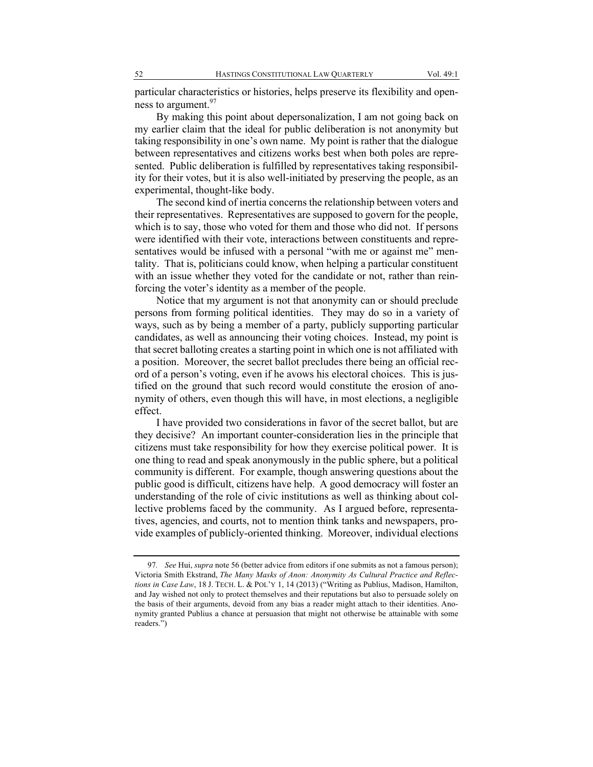particular characteristics or histories, helps preserve its flexibility and openness to argument.  $97$ 

By making this point about depersonalization, I am not going back on my earlier claim that the ideal for public deliberation is not anonymity but taking responsibility in one's own name. My point is rather that the dialogue between representatives and citizens works best when both poles are represented. Public deliberation is fulfilled by representatives taking responsibility for their votes, but it is also well-initiated by preserving the people, as an experimental, thought-like body.

The second kind of inertia concerns the relationship between voters and their representatives. Representatives are supposed to govern for the people, which is to say, those who voted for them and those who did not. If persons were identified with their vote, interactions between constituents and representatives would be infused with a personal "with me or against me" mentality. That is, politicians could know, when helping a particular constituent with an issue whether they voted for the candidate or not, rather than reinforcing the voter's identity as a member of the people.

Notice that my argument is not that anonymity can or should preclude persons from forming political identities. They may do so in a variety of ways, such as by being a member of a party, publicly supporting particular candidates, as well as announcing their voting choices. Instead, my point is that secret balloting creates a starting point in which one is not affiliated with a position. Moreover, the secret ballot precludes there being an official record of a person's voting, even if he avows his electoral choices. This is justified on the ground that such record would constitute the erosion of anonymity of others, even though this will have, in most elections, a negligible effect.

I have provided two considerations in favor of the secret ballot, but are they decisive? An important counter-consideration lies in the principle that citizens must take responsibility for how they exercise political power. It is one thing to read and speak anonymously in the public sphere, but a political community is different. For example, though answering questions about the public good is difficult, citizens have help. A good democracy will foster an understanding of the role of civic institutions as well as thinking about collective problems faced by the community. As I argued before, representatives, agencies, and courts, not to mention think tanks and newspapers, provide examples of publicly-oriented thinking. Moreover, individual elections

<sup>97</sup>*. See* Hui, *supra* note 56 (better advice from editors if one submits as not a famous person); Victoria Smith Ekstrand, *The Many Masks of Anon: Anonymity As Cultural Practice and Reflections in Case Law*, 18 J. TECH. L. & POL'Y 1, 14 (2013) ("Writing as Publius, Madison, Hamilton, and Jay wished not only to protect themselves and their reputations but also to persuade solely on the basis of their arguments, devoid from any bias a reader might attach to their identities. Anonymity granted Publius a chance at persuasion that might not otherwise be attainable with some readers.")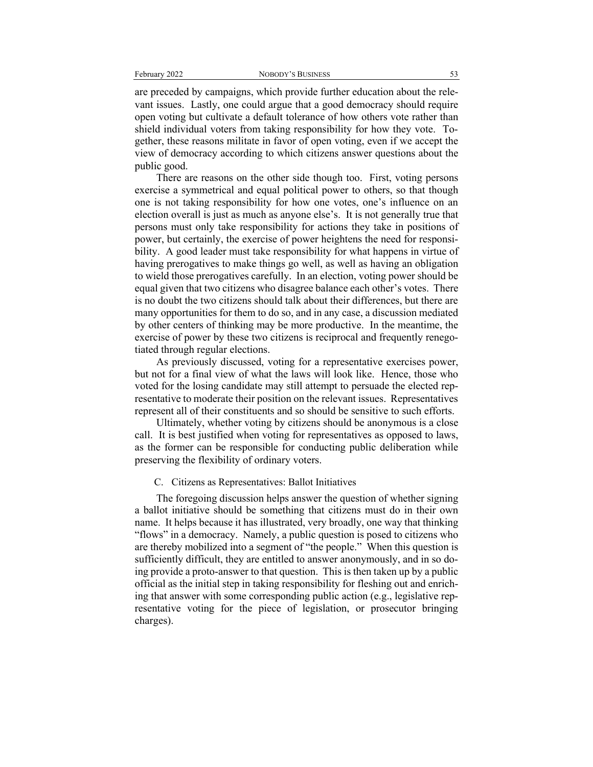are preceded by campaigns, which provide further education about the relevant issues. Lastly, one could argue that a good democracy should require open voting but cultivate a default tolerance of how others vote rather than shield individual voters from taking responsibility for how they vote. Together, these reasons militate in favor of open voting, even if we accept the view of democracy according to which citizens answer questions about the public good.

There are reasons on the other side though too. First, voting persons exercise a symmetrical and equal political power to others, so that though one is not taking responsibility for how one votes, one's influence on an election overall is just as much as anyone else's. It is not generally true that persons must only take responsibility for actions they take in positions of power, but certainly, the exercise of power heightens the need for responsibility. A good leader must take responsibility for what happens in virtue of having prerogatives to make things go well, as well as having an obligation to wield those prerogatives carefully. In an election, voting power should be equal given that two citizens who disagree balance each other's votes. There is no doubt the two citizens should talk about their differences, but there are many opportunities for them to do so, and in any case, a discussion mediated by other centers of thinking may be more productive. In the meantime, the exercise of power by these two citizens is reciprocal and frequently renegotiated through regular elections.

As previously discussed, voting for a representative exercises power, but not for a final view of what the laws will look like. Hence, those who voted for the losing candidate may still attempt to persuade the elected representative to moderate their position on the relevant issues. Representatives represent all of their constituents and so should be sensitive to such efforts.

Ultimately, whether voting by citizens should be anonymous is a close call. It is best justified when voting for representatives as opposed to laws, as the former can be responsible for conducting public deliberation while preserving the flexibility of ordinary voters.

#### C. Citizens as Representatives: Ballot Initiatives

The foregoing discussion helps answer the question of whether signing a ballot initiative should be something that citizens must do in their own name. It helps because it has illustrated, very broadly, one way that thinking "flows" in a democracy. Namely, a public question is posed to citizens who are thereby mobilized into a segment of "the people." When this question is sufficiently difficult, they are entitled to answer anonymously, and in so doing provide a proto-answer to that question. This is then taken up by a public official as the initial step in taking responsibility for fleshing out and enriching that answer with some corresponding public action (e.g., legislative representative voting for the piece of legislation, or prosecutor bringing charges).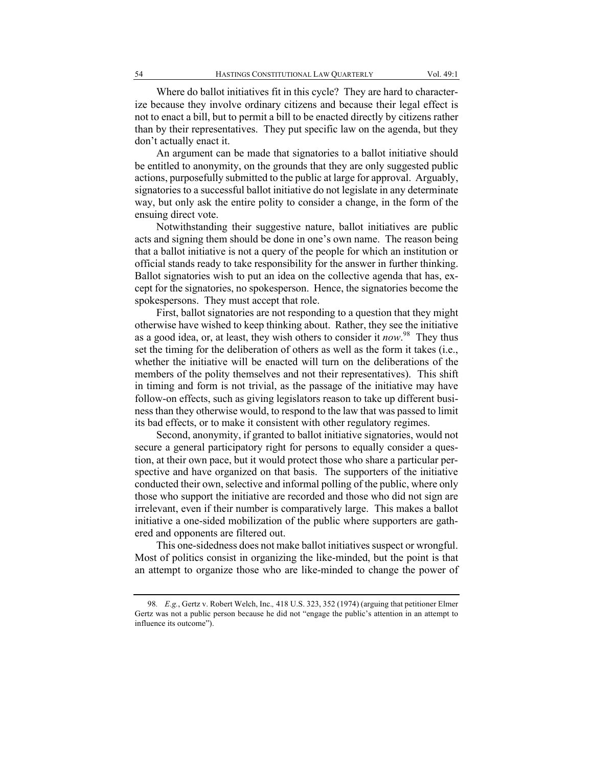Where do ballot initiatives fit in this cycle? They are hard to characterize because they involve ordinary citizens and because their legal effect is not to enact a bill, but to permit a bill to be enacted directly by citizens rather than by their representatives. They put specific law on the agenda, but they don't actually enact it.

An argument can be made that signatories to a ballot initiative should be entitled to anonymity, on the grounds that they are only suggested public actions, purposefully submitted to the public at large for approval. Arguably, signatories to a successful ballot initiative do not legislate in any determinate way, but only ask the entire polity to consider a change, in the form of the ensuing direct vote.

Notwithstanding their suggestive nature, ballot initiatives are public acts and signing them should be done in one's own name. The reason being that a ballot initiative is not a query of the people for which an institution or official stands ready to take responsibility for the answer in further thinking. Ballot signatories wish to put an idea on the collective agenda that has, except for the signatories, no spokesperson. Hence, the signatories become the spokespersons. They must accept that role.

First, ballot signatories are not responding to a question that they might otherwise have wished to keep thinking about. Rather, they see the initiative as a good idea, or, at least, they wish others to consider it *now*. 98 They thus set the timing for the deliberation of others as well as the form it takes (i.e., whether the initiative will be enacted will turn on the deliberations of the members of the polity themselves and not their representatives). This shift in timing and form is not trivial, as the passage of the initiative may have follow-on effects, such as giving legislators reason to take up different business than they otherwise would, to respond to the law that was passed to limit its bad effects, or to make it consistent with other regulatory regimes.

Second, anonymity, if granted to ballot initiative signatories, would not secure a general participatory right for persons to equally consider a question, at their own pace, but it would protect those who share a particular perspective and have organized on that basis. The supporters of the initiative conducted their own, selective and informal polling of the public, where only those who support the initiative are recorded and those who did not sign are irrelevant, even if their number is comparatively large. This makes a ballot initiative a one-sided mobilization of the public where supporters are gathered and opponents are filtered out.

This one-sidedness does not make ballot initiatives suspect or wrongful. Most of politics consist in organizing the like-minded, but the point is that an attempt to organize those who are like-minded to change the power of

<sup>98</sup>*. E.g.*, Gertz v. Robert Welch, Inc.*,* 418 U.S. 323, 352 (1974) (arguing that petitioner Elmer Gertz was not a public person because he did not "engage the public's attention in an attempt to influence its outcome").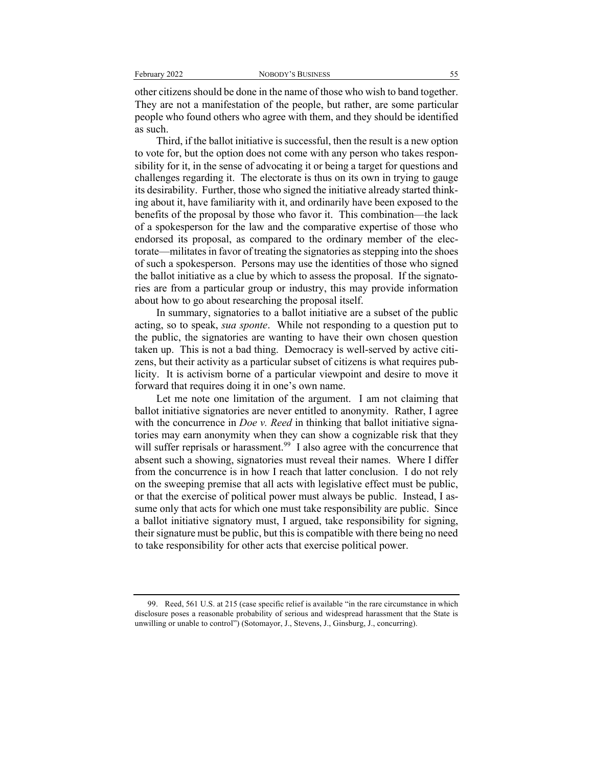other citizens should be done in the name of those who wish to band together. They are not a manifestation of the people, but rather, are some particular people who found others who agree with them, and they should be identified as such.

Third, if the ballot initiative is successful, then the result is a new option to vote for, but the option does not come with any person who takes responsibility for it, in the sense of advocating it or being a target for questions and challenges regarding it. The electorate is thus on its own in trying to gauge its desirability. Further, those who signed the initiative already started thinking about it, have familiarity with it, and ordinarily have been exposed to the benefits of the proposal by those who favor it. This combination—the lack of a spokesperson for the law and the comparative expertise of those who endorsed its proposal, as compared to the ordinary member of the electorate—militates in favor of treating the signatories as stepping into the shoes of such a spokesperson. Persons may use the identities of those who signed the ballot initiative as a clue by which to assess the proposal. If the signatories are from a particular group or industry, this may provide information about how to go about researching the proposal itself.

In summary, signatories to a ballot initiative are a subset of the public acting, so to speak, *sua sponte*. While not responding to a question put to the public, the signatories are wanting to have their own chosen question taken up. This is not a bad thing. Democracy is well-served by active citizens, but their activity as a particular subset of citizens is what requires publicity. It is activism borne of a particular viewpoint and desire to move it forward that requires doing it in one's own name.

Let me note one limitation of the argument. I am not claiming that ballot initiative signatories are never entitled to anonymity. Rather, I agree with the concurrence in *Doe v. Reed* in thinking that ballot initiative signatories may earn anonymity when they can show a cognizable risk that they will suffer reprisals or harassment.<sup>99</sup> I also agree with the concurrence that absent such a showing, signatories must reveal their names. Where I differ from the concurrence is in how I reach that latter conclusion. I do not rely on the sweeping premise that all acts with legislative effect must be public, or that the exercise of political power must always be public. Instead, I assume only that acts for which one must take responsibility are public. Since a ballot initiative signatory must, I argued, take responsibility for signing, their signature must be public, but this is compatible with there being no need to take responsibility for other acts that exercise political power.

<sup>99.</sup> Reed, 561 U.S. at 215 (case specific relief is available "in the rare circumstance in which disclosure poses a reasonable probability of serious and widespread harassment that the State is unwilling or unable to control") (Sotomayor, J., Stevens, J., Ginsburg, J., concurring).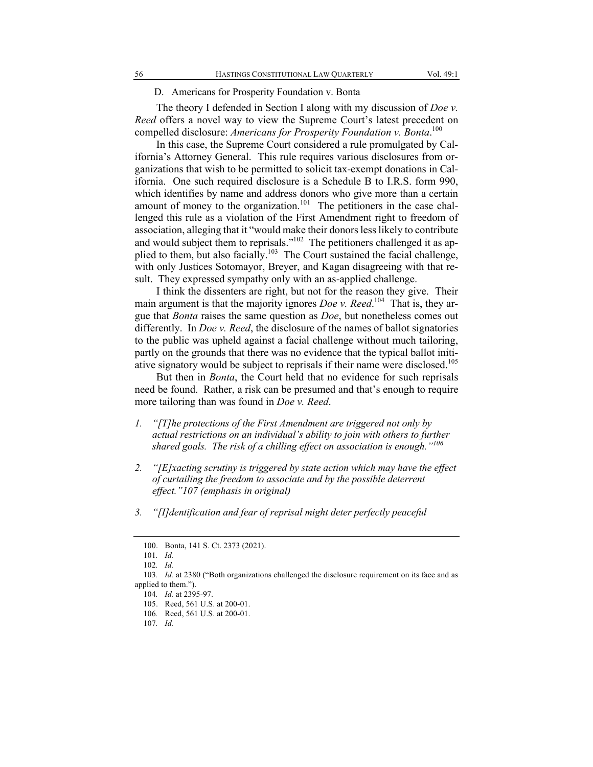#### D. Americans for Prosperity Foundation v. Bonta

The theory I defended in Section I along with my discussion of *Doe v. Reed* offers a novel way to view the Supreme Court's latest precedent on compelled disclosure: *Americans for Prosperity Foundation v. Bonta*. 100

In this case, the Supreme Court considered a rule promulgated by California's Attorney General. This rule requires various disclosures from organizations that wish to be permitted to solicit tax-exempt donations in California. One such required disclosure is a Schedule B to I.R.S. form 990, which identifies by name and address donors who give more than a certain amount of money to the organization.<sup>101</sup> The petitioners in the case challenged this rule as a violation of the First Amendment right to freedom of association, alleging that it "would make their donors less likely to contribute and would subject them to reprisals."<sup>102</sup> The petitioners challenged it as applied to them, but also facially.<sup>103</sup> The Court sustained the facial challenge, with only Justices Sotomayor, Breyer, and Kagan disagreeing with that result. They expressed sympathy only with an as-applied challenge.

I think the dissenters are right, but not for the reason they give. Their main argument is that the majority ignores *Doe v. Reed*.<sup>104</sup> That is, they argue that *Bonta* raises the same question as *Doe*, but nonetheless comes out differently. In *Doe v. Reed*, the disclosure of the names of ballot signatories to the public was upheld against a facial challenge without much tailoring, partly on the grounds that there was no evidence that the typical ballot initiative signatory would be subject to reprisals if their name were disclosed.<sup>105</sup>

But then in *Bonta*, the Court held that no evidence for such reprisals need be found. Rather, a risk can be presumed and that's enough to require more tailoring than was found in *Doe v. Reed*.

- *1. "[T]he protections of the First Amendment are triggered not only by actual restrictions on an individual's ability to join with others to further shared goals. The risk of a chilling effect on association is enough."<sup>106</sup>*
- *2. "[E]xacting scrutiny is triggered by state action which may have the effect of curtailing the freedom to associate and by the possible deterrent effect."107 (emphasis in original)*
- *3. "[I]dentification and fear of reprisal might deter perfectly peaceful*

<sup>100.</sup> Bonta, 141 S. Ct. 2373 (2021).

<sup>101</sup>*. Id.*

<sup>102</sup>*. Id.*

<sup>103</sup>*. Id.* at 2380 ("Both organizations challenged the disclosure requirement on its face and as applied to them.").

<sup>104</sup>*. Id.* at 2395-97.

<sup>105.</sup> Reed, 561 U.S. at 200-01.

<sup>106</sup>*.* Reed, 561 U.S. at 200-01.

<sup>107</sup>*. Id.*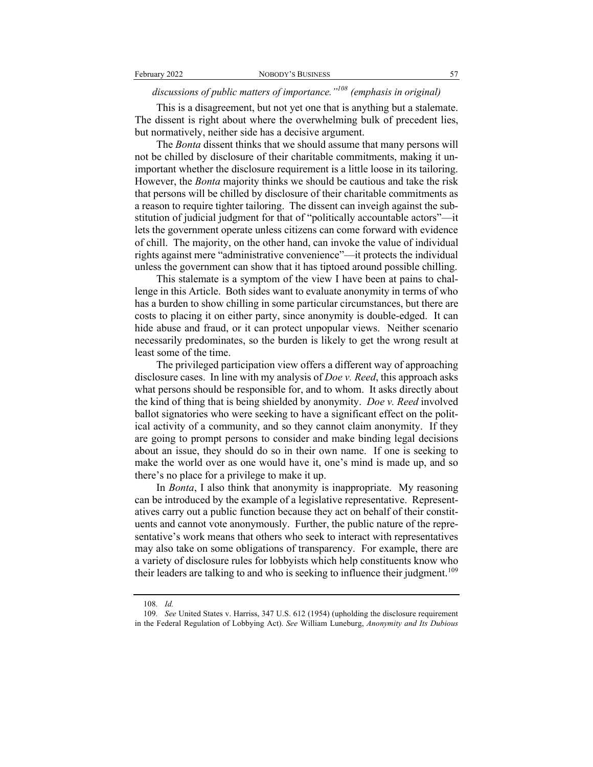### *discussions of public matters of importance."108 (emphasis in original)*

This is a disagreement, but not yet one that is anything but a stalemate. The dissent is right about where the overwhelming bulk of precedent lies, but normatively, neither side has a decisive argument.

The *Bonta* dissent thinks that we should assume that many persons will not be chilled by disclosure of their charitable commitments, making it unimportant whether the disclosure requirement is a little loose in its tailoring. However, the *Bonta* majority thinks we should be cautious and take the risk that persons will be chilled by disclosure of their charitable commitments as a reason to require tighter tailoring. The dissent can inveigh against the substitution of judicial judgment for that of "politically accountable actors"—it lets the government operate unless citizens can come forward with evidence of chill. The majority, on the other hand, can invoke the value of individual rights against mere "administrative convenience"—it protects the individual unless the government can show that it has tiptoed around possible chilling.

This stalemate is a symptom of the view I have been at pains to challenge in this Article. Both sides want to evaluate anonymity in terms of who has a burden to show chilling in some particular circumstances, but there are costs to placing it on either party, since anonymity is double-edged. It can hide abuse and fraud, or it can protect unpopular views. Neither scenario necessarily predominates, so the burden is likely to get the wrong result at least some of the time.

The privileged participation view offers a different way of approaching disclosure cases. In line with my analysis of *Doe v. Reed*, this approach asks what persons should be responsible for, and to whom. It asks directly about the kind of thing that is being shielded by anonymity. *Doe v. Reed* involved ballot signatories who were seeking to have a significant effect on the political activity of a community, and so they cannot claim anonymity. If they are going to prompt persons to consider and make binding legal decisions about an issue, they should do so in their own name. If one is seeking to make the world over as one would have it, one's mind is made up, and so there's no place for a privilege to make it up.

In *Bonta*, I also think that anonymity is inappropriate. My reasoning can be introduced by the example of a legislative representative. Representatives carry out a public function because they act on behalf of their constituents and cannot vote anonymously. Further, the public nature of the representative's work means that others who seek to interact with representatives may also take on some obligations of transparency. For example, there are a variety of disclosure rules for lobbyists which help constituents know who their leaders are talking to and who is seeking to influence their judgment.<sup>109</sup>

<sup>108</sup>*. Id.*

<sup>109</sup>*. See* United States v. Harriss, 347 U.S. 612 (1954) (upholding the disclosure requirement in the Federal Regulation of Lobbying Act). *See* William Luneburg, *Anonymity and Its Dubious*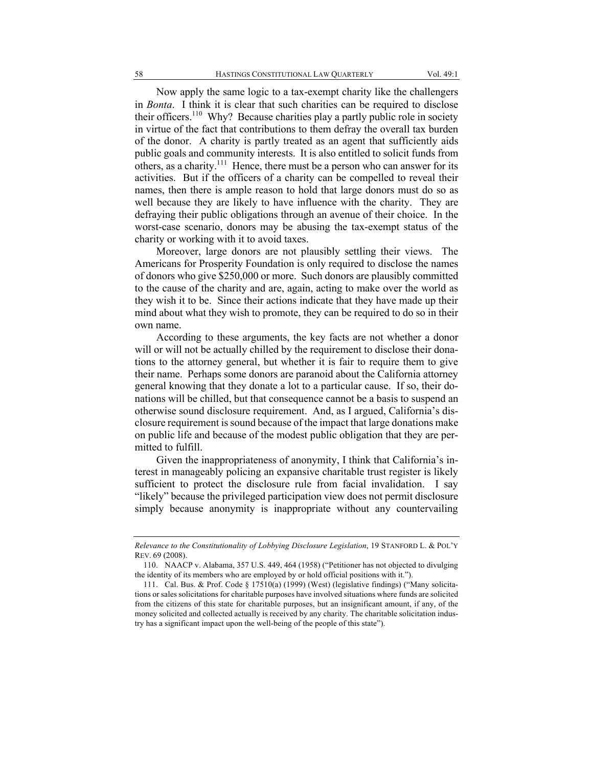Now apply the same logic to a tax-exempt charity like the challengers in *Bonta*. I think it is clear that such charities can be required to disclose their officers.<sup>110</sup> Why? Because charities play a partly public role in society in virtue of the fact that contributions to them defray the overall tax burden of the donor. A charity is partly treated as an agent that sufficiently aids public goals and community interests. It is also entitled to solicit funds from others, as a charity.<sup>111</sup> Hence, there must be a person who can answer for its activities. But if the officers of a charity can be compelled to reveal their names, then there is ample reason to hold that large donors must do so as well because they are likely to have influence with the charity. They are defraying their public obligations through an avenue of their choice. In the worst-case scenario, donors may be abusing the tax-exempt status of the charity or working with it to avoid taxes.

Moreover, large donors are not plausibly settling their views. The Americans for Prosperity Foundation is only required to disclose the names of donors who give \$250,000 or more. Such donors are plausibly committed to the cause of the charity and are, again, acting to make over the world as they wish it to be. Since their actions indicate that they have made up their mind about what they wish to promote, they can be required to do so in their own name.

According to these arguments, the key facts are not whether a donor will or will not be actually chilled by the requirement to disclose their donations to the attorney general, but whether it is fair to require them to give their name. Perhaps some donors are paranoid about the California attorney general knowing that they donate a lot to a particular cause. If so, their donations will be chilled, but that consequence cannot be a basis to suspend an otherwise sound disclosure requirement. And, as I argued, California's disclosure requirement is sound because of the impact that large donations make on public life and because of the modest public obligation that they are permitted to fulfill.

Given the inappropriateness of anonymity, I think that California's interest in manageably policing an expansive charitable trust register is likely sufficient to protect the disclosure rule from facial invalidation. I say "likely" because the privileged participation view does not permit disclosure simply because anonymity is inappropriate without any countervailing

*Relevance to the Constitutionality of Lobbying Disclosure Legislation*, 19 STANFORD L. & POL'Y REV. 69 (2008).

<sup>110.</sup> NAACP v. Alabama, 357 U.S. 449, 464 (1958) ("Petitioner has not objected to divulging the identity of its members who are employed by or hold official positions with it.").

<sup>111.</sup> Cal. Bus. & Prof. Code § 17510(a) (1999) (West) (legislative findings) ("Many solicitations or sales solicitations for charitable purposes have involved situations where funds are solicited from the citizens of this state for charitable purposes, but an insignificant amount, if any, of the money solicited and collected actually is received by any charity. The charitable solicitation industry has a significant impact upon the well-being of the people of this state").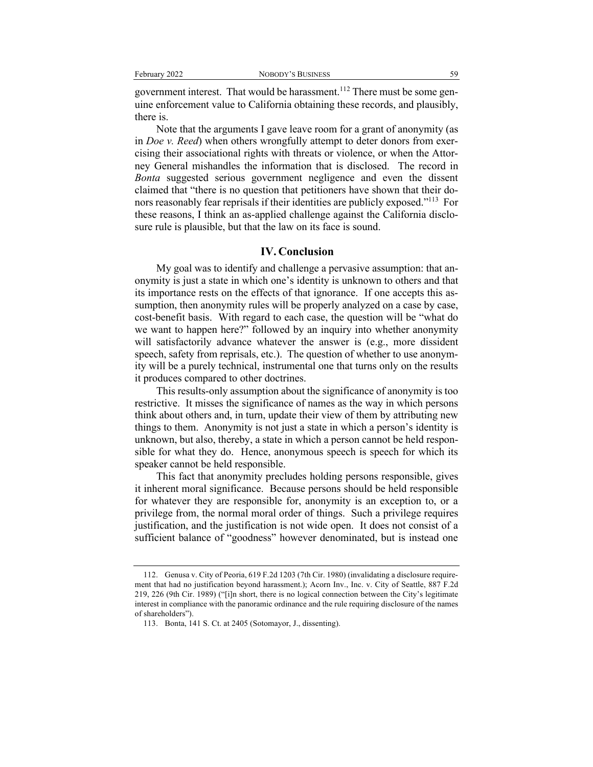government interest. That would be harassment.<sup>112</sup> There must be some genuine enforcement value to California obtaining these records, and plausibly, there is.

Note that the arguments I gave leave room for a grant of anonymity (as in *Doe v. Reed*) when others wrongfully attempt to deter donors from exercising their associational rights with threats or violence, or when the Attorney General mishandles the information that is disclosed. The record in *Bonta* suggested serious government negligence and even the dissent claimed that "there is no question that petitioners have shown that their donors reasonably fear reprisals if their identities are publicly exposed."113 For these reasons, I think an as-applied challenge against the California disclosure rule is plausible, but that the law on its face is sound.

#### **IV. Conclusion**

My goal was to identify and challenge a pervasive assumption: that anonymity is just a state in which one's identity is unknown to others and that its importance rests on the effects of that ignorance. If one accepts this assumption, then anonymity rules will be properly analyzed on a case by case, cost-benefit basis. With regard to each case, the question will be "what do we want to happen here?" followed by an inquiry into whether anonymity will satisfactorily advance whatever the answer is (e.g., more dissident speech, safety from reprisals, etc.). The question of whether to use anonymity will be a purely technical, instrumental one that turns only on the results it produces compared to other doctrines.

This results-only assumption about the significance of anonymity is too restrictive. It misses the significance of names as the way in which persons think about others and, in turn, update their view of them by attributing new things to them. Anonymity is not just a state in which a person's identity is unknown, but also, thereby, a state in which a person cannot be held responsible for what they do. Hence, anonymous speech is speech for which its speaker cannot be held responsible.

This fact that anonymity precludes holding persons responsible, gives it inherent moral significance. Because persons should be held responsible for whatever they are responsible for, anonymity is an exception to, or a privilege from, the normal moral order of things. Such a privilege requires justification, and the justification is not wide open. It does not consist of a sufficient balance of "goodness" however denominated, but is instead one

<sup>112.</sup> Genusa v. City of Peoria, 619 F.2d 1203 (7th Cir. 1980) (invalidating a disclosure requirement that had no justification beyond harassment.); Acorn Inv., Inc. v. City of Seattle, 887 F.2d 219, 226 (9th Cir. 1989) ("[i]n short, there is no logical connection between the City's legitimate interest in compliance with the panoramic ordinance and the rule requiring disclosure of the names of shareholders").

<sup>113.</sup> Bonta, 141 S. Ct. at 2405 (Sotomayor, J., dissenting).